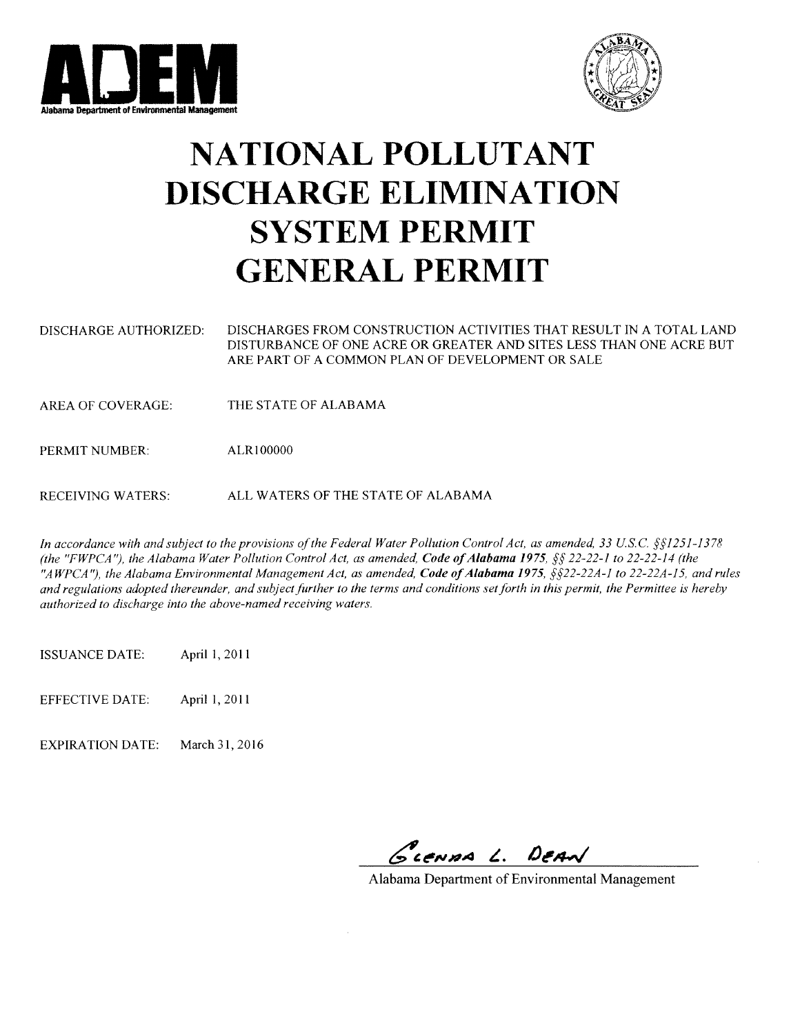



# **NATIONAL POLLUTANT DISCHARGE ELIMINATION SYSTEM PERMIT GENERAL PERMIT**

- DISCHARGES FROM CONSTRUCTION ACTIVITIES THAT RESULT IN A TOTAL LAND DISCHARGE AUTHORIZED: DISTURBANCE OF ONE ACRE OR GREATER AND SITES LESS THAN ONE ACRE BUT ARE PART OF A COMMON PLAN OF DEVELOPMENT OR SALE
- THE STATE OF ALABAMA **AREA OF COVERAGE:**

PERMIT NUMBER: ALR100000

ALL WATERS OF THE STATE OF ALABAMA **RECEIVING WATERS:** 

In accordance with and subject to the provisions of the Federal Water Pollution Control Act, as amended, 33 U.S.C.  $\S1251-1378$ (the "FWPCA"), the Alabama Water Pollution Control Act, as amended, Code of Alabama 1975, §§ 22-22-1 to 22-22-14 (the "AWPCA"), the Alabama Environmental Management Act, as amended, Code of Alabama 1975, §§22-22A-1 to 22-22A-15, and rules and regulations adopted thereunder, and subject further to the terms and conditions set forth in this permit, the Permittee is hereby authorized to discharge into the above-named receiving waters.

April 1, 2011 **ISSUANCE DATE:** 

**EFFECTIVE DATE:** April 1, 2011

**EXPIRATION DATE:** March 31, 2016

GLENDA L. DEAN

Alabama Department of Environmental Management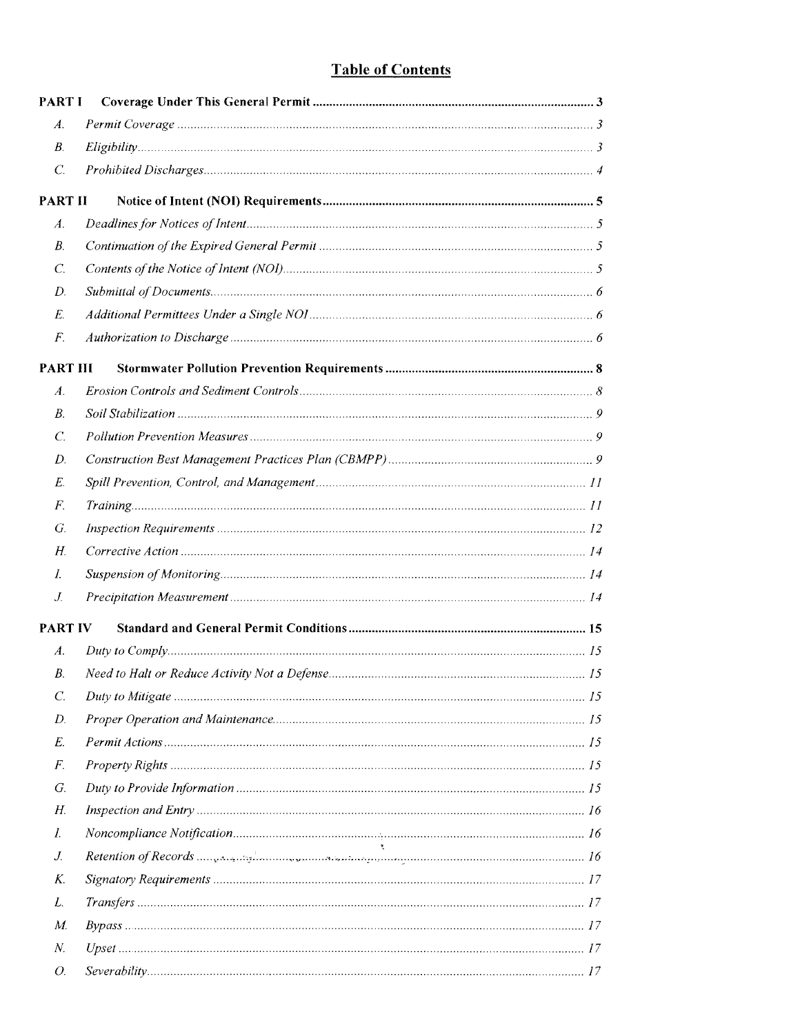# **Table of Contents**

| PART I           |  |
|------------------|--|
| $\mathcal{A}.$   |  |
| $B_{\cdot}$      |  |
| $C_{\cdot}$      |  |
| <b>PART II</b>   |  |
| $\overline{A}$ . |  |
| В.               |  |
| $\mathcal{C}$ .  |  |
| D.               |  |
| E.               |  |
| F.               |  |
| <b>PART III</b>  |  |
| A.               |  |
| В.               |  |
| $\mathcal{C}$ .  |  |
| D.               |  |
| Е.               |  |
| F.               |  |
| G.               |  |
| Н.               |  |
| I.               |  |
| J.               |  |
| <b>PART IV</b>   |  |
| A.               |  |
| В.               |  |
| C.               |  |
| D.               |  |
| E.               |  |
| F.               |  |
| G.               |  |
| Н.               |  |
| I.               |  |
| J.               |  |
| K.               |  |
| L.               |  |
| М.               |  |
| N.               |  |
| O.               |  |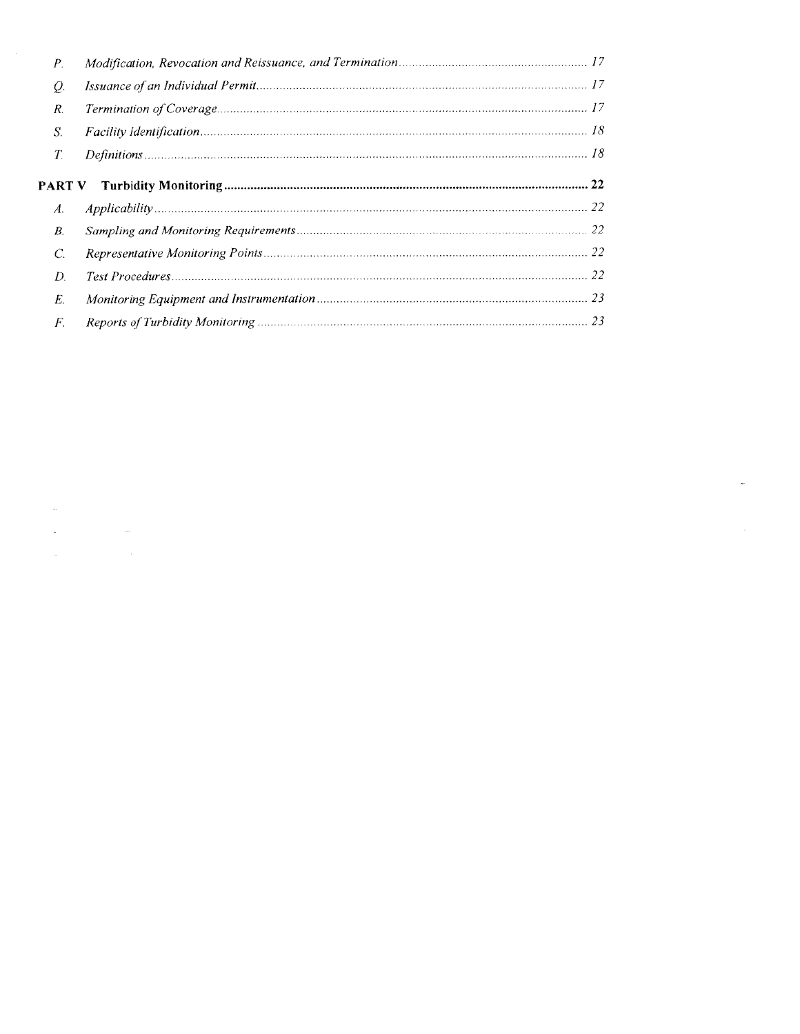| Р.             |  |
|----------------|--|
| Q.             |  |
| R.             |  |
| S.             |  |
| $T_{\cdot}$    |  |
| <b>PART V</b>  |  |
|                |  |
| A.             |  |
| B.             |  |
| $\overline{C}$ |  |
| D              |  |
| E.             |  |

 $\label{eq:1.1} \frac{\partial \phi}{\partial t} = \frac{1}{2} \sum_{i=1}^n \frac{\partial \phi}{\partial x_i} \phi_i^2 + \frac{1}{2} \sum_{i=1}^n \frac{\partial \phi_i}{\partial x_i} \phi_i^2 + \frac{1}{2} \sum_{i=1}^n \frac{\partial \phi_i}{\partial x_i} \phi_i^2 + \frac{1}{2} \sum_{i=1}^n \frac{\partial \phi_i}{\partial x_i} \phi_i^2 + \frac{1}{2} \sum_{i=1}^n \frac{\partial \phi_i}{\partial x_i} \phi_i^2 + \frac{1}{2} \sum_{i=1}^n \frac{\partial \phi_i}{\$ 

 $\label{eq:2} \frac{1}{\sqrt{2}}\int_{0}^{\infty}\frac{1}{\sqrt{2\pi}}\left(\frac{1}{\sqrt{2}}\right)^{2}d\mu_{\rm{eff}}$ 

 $\label{eq:2.1} \frac{1}{2} \sum_{i=1}^n \frac{1}{2} \sum_{j=1}^n \frac{1}{2} \sum_{j=1}^n \frac{1}{2} \sum_{j=1}^n \frac{1}{2} \sum_{j=1}^n \frac{1}{2} \sum_{j=1}^n \frac{1}{2} \sum_{j=1}^n \frac{1}{2} \sum_{j=1}^n \frac{1}{2} \sum_{j=1}^n \frac{1}{2} \sum_{j=1}^n \frac{1}{2} \sum_{j=1}^n \frac{1}{2} \sum_{j=1}^n \frac{1}{2} \sum_{j=1}^n \frac{$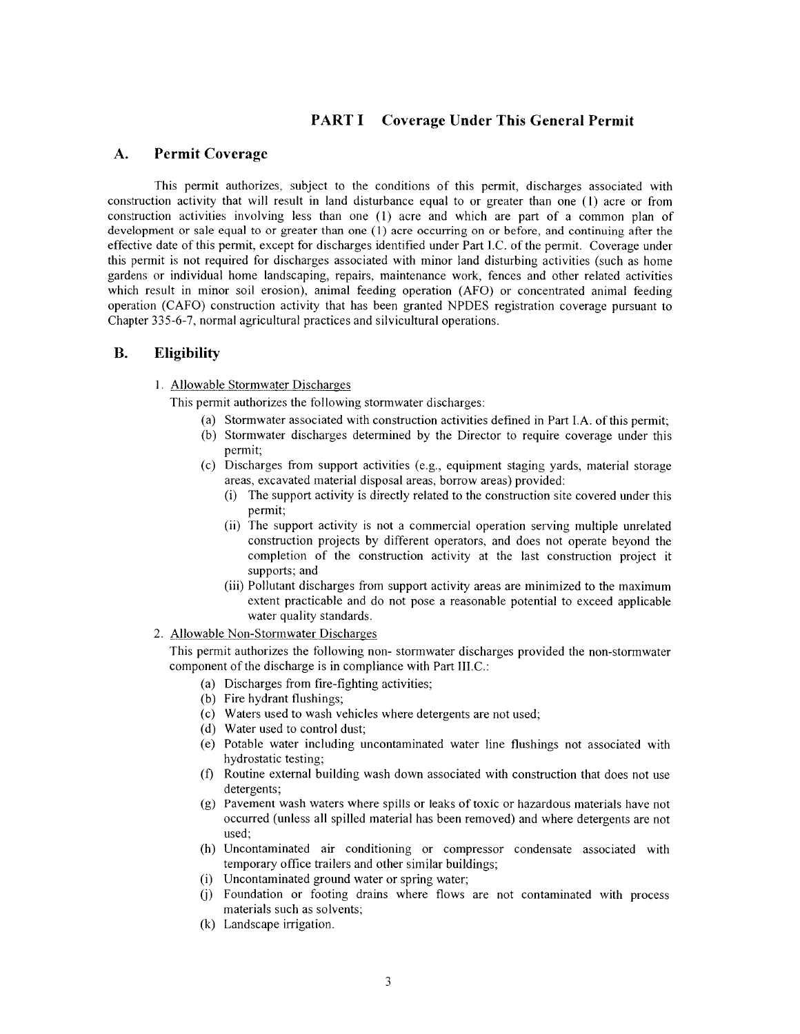# **PART I** Coverage Under This General Permit

#### $\mathbf{A}$ . **Permit Coverage**

This permit authorizes, subject to the conditions of this permit, discharges associated with construction activity that will result in land disturbance equal to or greater than one (1) acre or from construction activities involving less than one (1) acre and which are part of a common plan of development or sale equal to or greater than one  $(1)$  acre occurring on or before, and continuing after the effective date of this permit, except for discharges identified under Part I.C. of the permit. Coverage under this permit is not required for discharges associated with minor land disturbing activities (such as home gardens or individual home landscaping, repairs, maintenance work, fences and other related activities which result in minor soil erosion), animal feeding operation (AFO) or concentrated animal feeding operation (CAFO) construction activity that has been granted NPDES registration coverage pursuant to Chapter 335-6-7, normal agricultural practices and silvicultural operations.

#### **B. Eligibility**

1. Allowable Stormwater Discharges

This permit authorizes the following stormwater discharges:

- (a) Stormwater associated with construction activities defined in Part I.A. of this permit:
- (b) Stormwater discharges determined by the Director to require coverage under this permit;
- (c) Discharges from support activities (e.g., equipment staging yards, material storage areas, excavated material disposal areas, borrow areas) provided:
	- (i) The support activity is directly related to the construction site covered under this permit;
	- (ii) The support activity is not a commercial operation serving multiple unrelated construction projects by different operators, and does not operate beyond the completion of the construction activity at the last construction project it supports; and
	- (iii) Pollutant discharges from support activity areas are minimized to the maximum extent practicable and do not pose a reasonable potential to exceed applicable water quality standards.
- 2. Allowable Non-Stormwater Discharges

This permit authorizes the following non-stormwater discharges provided the non-stormwater component of the discharge is in compliance with Part III.C.:

- (a) Discharges from fire-fighting activities;
- (b) Fire hydrant flushings;
- (c) Waters used to wash vehicles where detergents are not used;
- (d) Water used to control dust;
- (e) Potable water including uncontaminated water line flushings not associated with hydrostatic testing;
- (f) Routine external building wash down associated with construction that does not use detergents:
- (g) Pavement wash waters where spills or leaks of toxic or hazardous materials have not occurred (unless all spilled material has been removed) and where detergents are not used;
- (h) Uncontaminated air conditioning or compressor condensate associated with temporary office trailers and other similar buildings;
- (i) Uncontaminated ground water or spring water;
- (j) Foundation or footing drains where flows are not contaminated with process materials such as solvents;
- (k) Landscape irrigation.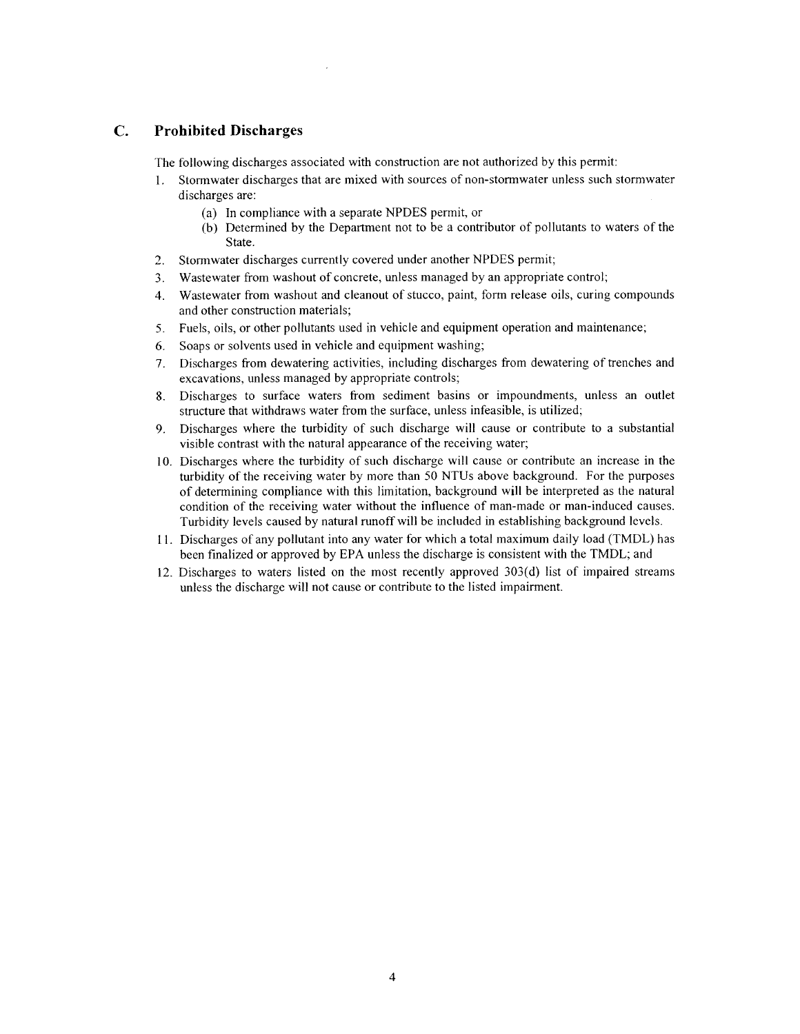#### $\overline{C}$ . **Prohibited Discharges**

The following discharges associated with construction are not authorized by this permit:

- Stormwater discharges that are mixed with sources of non-stormwater unless such stormwater  $1.$ discharges are:
	- (a) In compliance with a separate NPDES permit, or
	- (b) Determined by the Department not to be a contributor of pollutants to waters of the State.
- $2.$ Stormwater discharges currently covered under another NPDES permit;
- Wastewater from washout of concrete, unless managed by an appropriate control;  $3.$
- Wastewater from washout and cleanout of stucco, paint, form release oils, curing compounds  $\mathbf{4}$ and other construction materials;
- 5. Fuels, oils, or other pollutants used in vehicle and equipment operation and maintenance;
- 6. Soaps or solvents used in vehicle and equipment washing;
- 7. Discharges from dewatering activities, including discharges from dewatering of trenches and excavations, unless managed by appropriate controls;
- 8. Discharges to surface waters from sediment basins or impoundments, unless an outlet structure that withdraws water from the surface, unless infeasible, is utilized;
- Discharges where the turbidity of such discharge will cause or contribute to a substantial  $9<sub>1</sub>$ visible contrast with the natural appearance of the receiving water;
- 10. Discharges where the turbidity of such discharge will cause or contribute an increase in the turbidity of the receiving water by more than 50 NTUs above background. For the purposes of determining compliance with this limitation, background will be interpreted as the natural condition of the receiving water without the influence of man-made or man-induced causes. Turbidity levels caused by natural runoff will be included in establishing background levels.
- 11. Discharges of any pollutant into any water for which a total maximum daily load (TMDL) has been finalized or approved by EPA unless the discharge is consistent with the TMDL; and
- 12. Discharges to waters listed on the most recently approved 303(d) list of impaired streams unless the discharge will not cause or contribute to the listed impairment.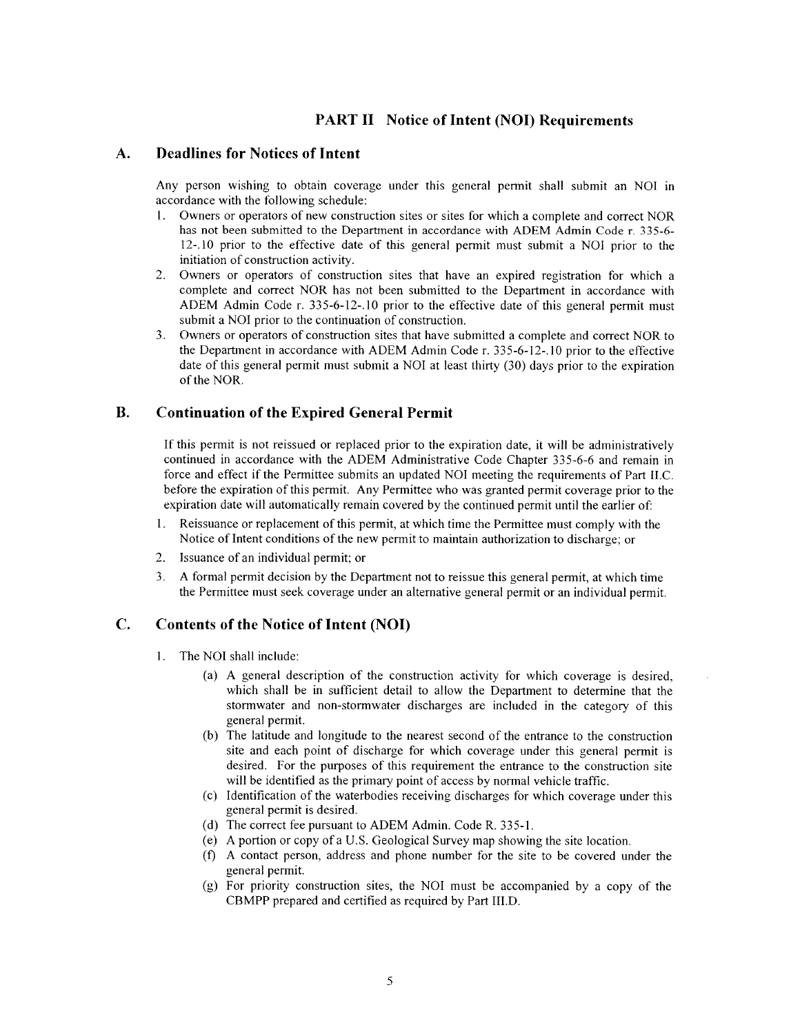# **PART II Notice of Intent (NOI) Requirements**

#### **Deadlines for Notices of Intent** A.

Any person wishing to obtain coverage under this general permit shall submit an NOI in accordance with the following schedule:

- 1. Owners or operators of new construction sites or sites for which a complete and correct NOR has not been submitted to the Department in accordance with ADEM Admin Code r. 335-6-12-.10 prior to the effective date of this general permit must submit a NOI prior to the initiation of construction activity.
- Owners or operators of construction sites that have an expired registration for which a  $2.$ complete and correct NOR has not been submitted to the Department in accordance with ADEM Admin Code r. 335-6-12-.10 prior to the effective date of this general permit must submit a NOI prior to the continuation of construction.
- Owners or operators of construction sites that have submitted a complete and correct NOR to  $3<sub>1</sub>$ the Department in accordance with ADEM Admin Code r. 335-6-12-.10 prior to the effective date of this general permit must submit a NOI at least thirty (30) days prior to the expiration of the NOR.

#### **B. Continuation of the Expired General Permit**

If this permit is not reissued or replaced prior to the expiration date, it will be administratively continued in accordance with the ADEM Administrative Code Chapter 335-6-6 and remain in force and effect if the Permittee submits an updated NOI meeting the requirements of Part II.C. before the expiration of this permit. Any Permittee who was granted permit coverage prior to the expiration date will automatically remain covered by the continued permit until the earlier of:

- Reissuance or replacement of this permit, at which time the Permittee must comply with the  $1.$ Notice of Intent conditions of the new permit to maintain authorization to discharge; or
- $2.$ Issuance of an individual permit; or
- $3<sub>1</sub>$ A formal permit decision by the Department not to reissue this general permit, at which time the Permittee must seek coverage under an alternative general permit or an individual permit.

#### C. **Contents of the Notice of Intent (NOI)**

- 1. The NOI shall include:
	- (a) A general description of the construction activity for which coverage is desired, which shall be in sufficient detail to allow the Department to determine that the stormwater and non-stormwater discharges are included in the category of this general permit.
	- (b) The latitude and longitude to the nearest second of the entrance to the construction site and each point of discharge for which coverage under this general permit is desired. For the purposes of this requirement the entrance to the construction site will be identified as the primary point of access by normal vehicle traffic.
	- (c) Identification of the waterbodies receiving discharges for which coverage under this general permit is desired.
	- (d) The correct fee pursuant to ADEM Admin. Code R. 335-1.
	- (e) A portion or copy of a U.S. Geological Survey map showing the site location.
	- (f) A contact person, address and phone number for the site to be covered under the general permit.
	- (g) For priority construction sites, the NOI must be accompanied by a copy of the CBMPP prepared and certified as required by Part III.D.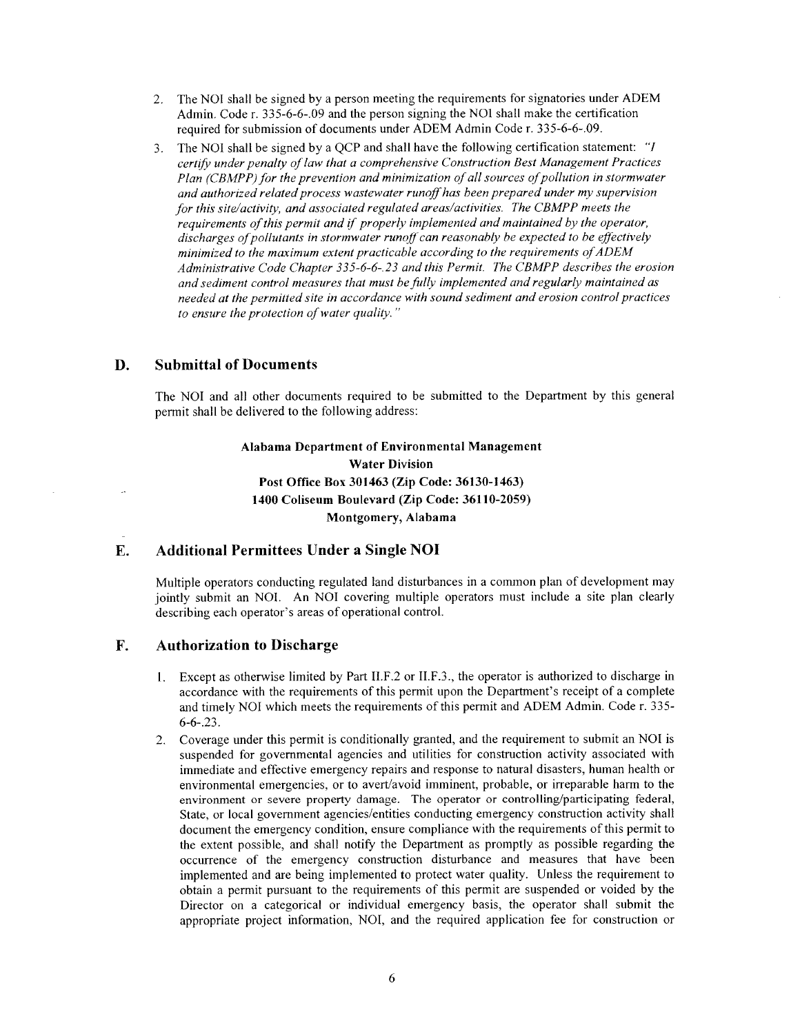- The NOI shall be signed by a person meeting the requirements for signatories under ADEM  $2.$ Admin. Code r. 335-6-6-09 and the person signing the NOI shall make the certification required for submission of documents under ADEM Admin Code r. 335-6-6-.09.
- The NOI shall be signed by a QCP and shall have the following certification statement: "I  $3<sub>1</sub>$ certify under penalty of law that a comprehensive Construction Best Management Practices Plan (CBMPP) for the prevention and minimization of all sources of pollution in stormwater and authorized related process wastewater runoff has been prepared under my supervision for this site/activity, and associated regulated areas/activities. The CBMPP meets the requirements of this permit and if properly implemented and maintained by the operator, discharges of pollutants in stormwater runoff can reasonably be expected to be effectively minimized to the maximum extent practicable according to the requirements of ADEM Administrative Code Chapter 335-6-6-23 and this Permit. The CBMPP describes the erosion and sediment control measures that must be fully implemented and regularly maintained as needed at the permitted site in accordance with sound sediment and erosion control practices to ensure the protection of water quality."

#### D. **Submittal of Documents**

The NOI and all other documents required to be submitted to the Department by this general permit shall be delivered to the following address:

> Alabama Department of Environmental Management **Water Division** Post Office Box 301463 (Zip Code: 36130-1463) 1400 Coliseum Boulevard (Zip Code: 36110-2059) Montgomery, Alabama

#### **Additional Permittees Under a Single NOI** E.

Multiple operators conducting regulated land disturbances in a common plan of development may jointly submit an NOI. An NOI covering multiple operators must include a site plan clearly describing each operator's areas of operational control.

#### F. **Authorization to Discharge**

- Except as otherwise limited by Part II.F.2 or II.F.3., the operator is authorized to discharge in 1. accordance with the requirements of this permit upon the Department's receipt of a complete and timely NOI which meets the requirements of this permit and ADEM Admin. Code r. 335- $6 - 6 - 23$ .
- 2. Coverage under this permit is conditionally granted, and the requirement to submit an NOI is suspended for governmental agencies and utilities for construction activity associated with immediate and effective emergency repairs and response to natural disasters, human health or environmental emergencies, or to avert/avoid imminent, probable, or irreparable harm to the environment or severe property damage. The operator or controlling/participating federal, State, or local government agencies/entities conducting emergency construction activity shall document the emergency condition, ensure compliance with the requirements of this permit to the extent possible, and shall notify the Department as promptly as possible regarding the occurrence of the emergency construction disturbance and measures that have been implemented and are being implemented to protect water quality. Unless the requirement to obtain a permit pursuant to the requirements of this permit are suspended or voided by the Director on a categorical or individual emergency basis, the operator shall submit the appropriate project information, NOI, and the required application fee for construction or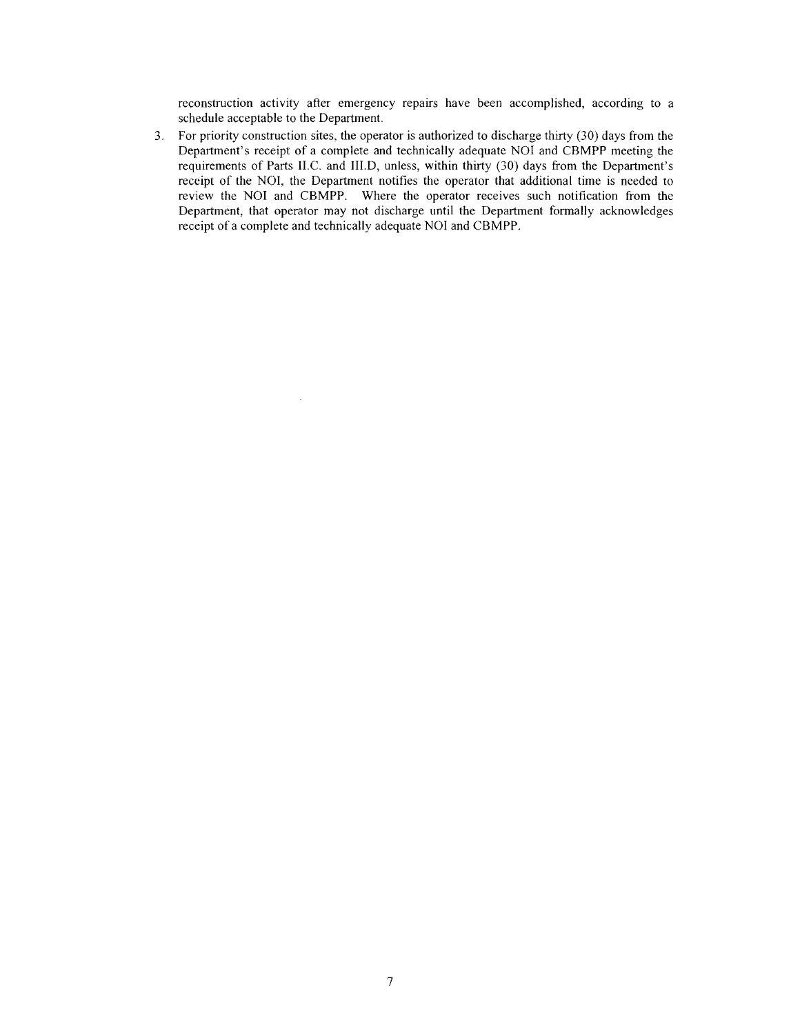reconstruction activity after emergency repairs have been accomplished, according to a schedule acceptable to the Department.

3. For priority construction sites, the operator is authorized to discharge thirty (30) days from the Department's receipt of a complete and technically adequate NOI and CBMPP meeting the requirements of Parts II.C. and III.D, unless, within thirty (30) days from the Department's receipt of the NOI, the Department notifies the operator that additional time is needed to review the NOI and CBMPP. Where the operator receives such notification from the Department, that operator may not discharge until the Department formally acknowledges receipt of a complete and technically adequate NOI and CBMPP.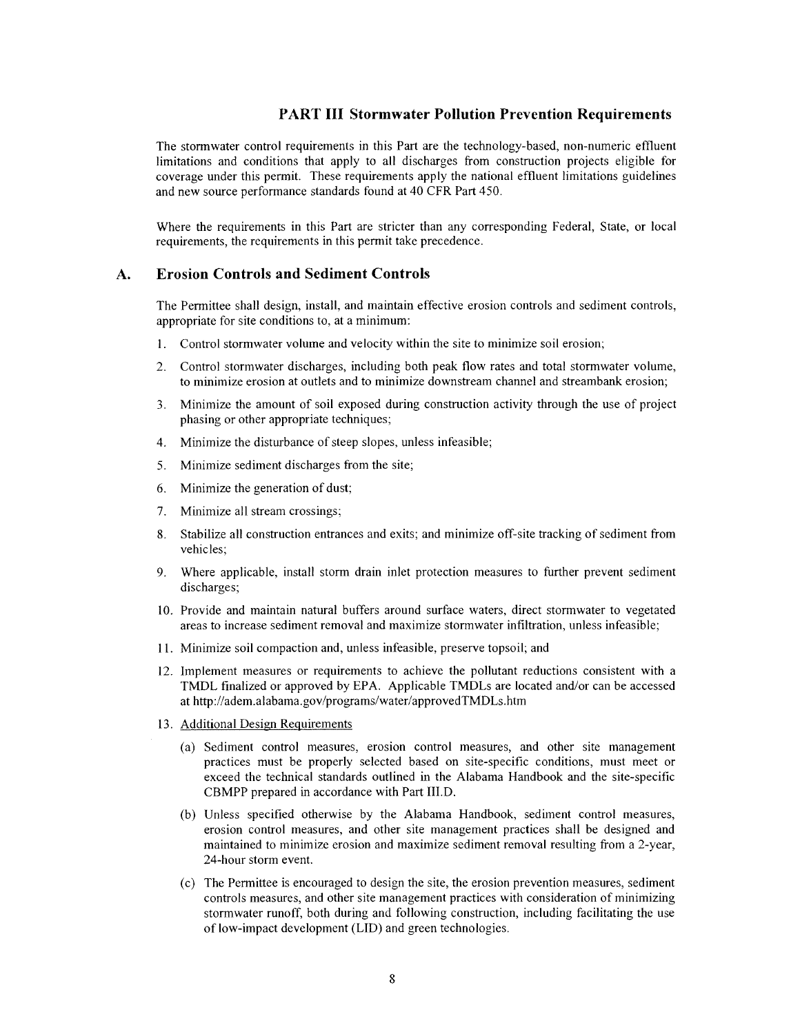# **PART III Stormwater Pollution Prevention Requirements**

The stormwater control requirements in this Part are the technology-based, non-numeric effluent limitations and conditions that apply to all discharges from construction projects eligible for coverage under this permit. These requirements apply the national effluent limitations guidelines and new source performance standards found at 40 CFR Part 450.

Where the requirements in this Part are stricter than any corresponding Federal, State, or local requirements, the requirements in this permit take precedence.

#### **Erosion Controls and Sediment Controls**  $\mathbf{A}$ .

The Permittee shall design, install, and maintain effective erosion controls and sediment controls, appropriate for site conditions to, at a minimum:

- 1. Control stormwater volume and velocity within the site to minimize soil erosion;
- Control stormwater discharges, including both peak flow rates and total stormwater volume,  $2.$ to minimize erosion at outlets and to minimize downstream channel and streambank erosion;
- 3. Minimize the amount of soil exposed during construction activity through the use of project phasing or other appropriate techniques;
- Minimize the disturbance of steep slopes, unless infeasible;  $4.$
- Minimize sediment discharges from the site; 5.
- 6. Minimize the generation of dust;
- Minimize all stream crossings; 7.
- Stabilize all construction entrances and exits; and minimize off-site tracking of sediment from 8. vehicles:
- $9<sub>1</sub>$ Where applicable, install storm drain inlet protection measures to further prevent sediment discharges;
- 10. Provide and maintain natural buffers around surface waters, direct stormwater to vegetated areas to increase sediment removal and maximize stormwater infiltration, unless infeasible;
- 11. Minimize soil compaction and, unless infeasible, preserve topsoil; and
- 12. Implement measures or requirements to achieve the pollutant reductions consistent with a TMDL finalized or approved by EPA. Applicable TMDLs are located and/or can be accessed at http://adem.alabama.gov/programs/water/approvedTMDLs.htm
- 13. Additional Design Requirements
	- (a) Sediment control measures, erosion control measures, and other site management practices must be properly selected based on site-specific conditions, must meet or exceed the technical standards outlined in the Alabama Handbook and the site-specific CBMPP prepared in accordance with Part III.D.
	- (b) Unless specified otherwise by the Alabama Handbook, sediment control measures, erosion control measures, and other site management practices shall be designed and maintained to minimize erosion and maximize sediment removal resulting from a 2-year, 24-hour storm event.
	- (c) The Permittee is encouraged to design the site, the erosion prevention measures, sediment controls measures, and other site management practices with consideration of minimizing stormwater runoff, both during and following construction, including facilitating the use of low-impact development (LID) and green technologies.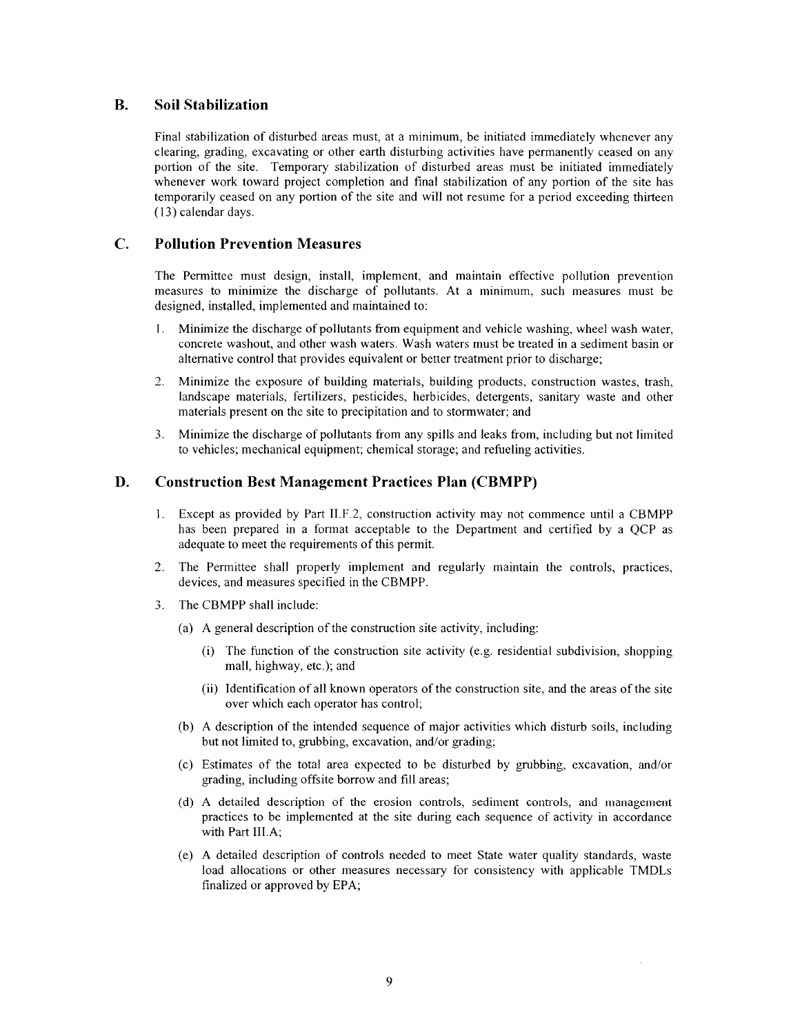#### **B. Soil Stabilization**

Final stabilization of disturbed areas must, at a minimum, be initiated immediately whenever any clearing, grading, excavating or other earth disturbing activities have permanently ceased on any portion of the site. Temporary stabilization of disturbed areas must be initiated immediately whenever work toward project completion and final stabilization of any portion of the site has temporarily ceased on any portion of the site and will not resume for a period exceeding thirteen (13) calendar days.

#### $\mathbf{C}$ . **Pollution Prevention Measures**

The Permittee must design, install, implement, and maintain effective pollution prevention measures to minimize the discharge of pollutants. At a minimum, such measures must be designed, installed, implemented and maintained to:

- Minimize the discharge of pollutants from equipment and vehicle washing, wheel wash water,  $1.$ concrete washout, and other wash waters. Wash waters must be treated in a sediment basin or alternative control that provides equivalent or better treatment prior to discharge;
- $2.$ Minimize the exposure of building materials, building products, construction wastes, trash, landscape materials, fertilizers, pesticides, herbicides, detergents, sanitary waste and other materials present on the site to precipitation and to stormwater; and
- 3. Minimize the discharge of pollutants from any spills and leaks from, including but not limited to vehicles; mechanical equipment; chemical storage; and refueling activities.

#### D. **Construction Best Management Practices Plan (CBMPP)**

- Except as provided by Part II.F.2, construction activity may not commence until a CBMPP  $1<sup>1</sup>$ has been prepared in a format acceptable to the Department and certified by a QCP as adequate to meet the requirements of this permit.
- 2. The Permittee shall properly implement and regularly maintain the controls, practices, devices, and measures specified in the CBMPP.
- The CBMPP shall include:  $\overline{3}$ .
	- (a) A general description of the construction site activity, including:
		- (i) The function of the construction site activity (e.g. residential subdivision, shopping mall, highway, etc.); and
		- (ii) Identification of all known operators of the construction site, and the areas of the site over which each operator has control;
	- (b) A description of the intended sequence of major activities which disturb soils, including but not limited to, grubbing, excavation, and/or grading;
	- (c) Estimates of the total area expected to be disturbed by grubbing, excavation, and/or grading, including offsite borrow and fill areas;
	- (d) A detailed description of the erosion controls, sediment controls, and management practices to be implemented at the site during each sequence of activity in accordance with Part III.A;
	- (e) A detailed description of controls needed to meet State water quality standards, waste load allocations or other measures necessary for consistency with applicable TMDLs finalized or approved by EPA;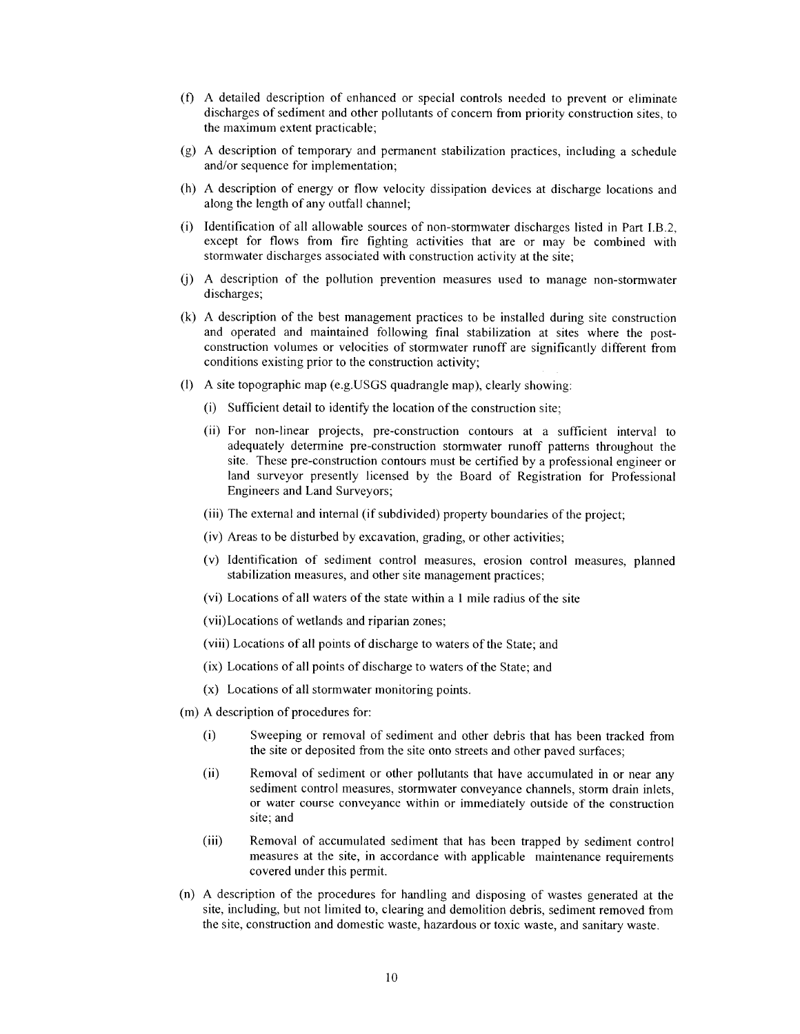- (f) A detailed description of enhanced or special controls needed to prevent or eliminate discharges of sediment and other pollutants of concern from priority construction sites, to the maximum extent practicable;
- (g) A description of temporary and permanent stabilization practices, including a schedule and/or sequence for implementation;
- (h) A description of energy or flow velocity dissipation devices at discharge locations and along the length of any outfall channel:
- (i) Identification of all allowable sources of non-stormwater discharges listed in Part I.B.2, except for flows from fire fighting activities that are or may be combined with stormwater discharges associated with construction activity at the site;
- (j) A description of the pollution prevention measures used to manage non-stormwater discharges;
- (k) A description of the best management practices to be installed during site construction and operated and maintained following final stabilization at sites where the postconstruction volumes or velocities of stormwater runoff are significantly different from conditions existing prior to the construction activity;
- (I) A site topographic map (e.g. USGS quadrangle map), clearly showing:
	- (i) Sufficient detail to identify the location of the construction site;
	- (ii) For non-linear projects, pre-construction contours at a sufficient interval to adequately determine pre-construction stormwater runoff patterns throughout the site. These pre-construction contours must be certified by a professional engineer or land surveyor presently licensed by the Board of Registration for Professional Engineers and Land Surveyors;
	- (iii) The external and internal (if subdivided) property boundaries of the project;
	- (iv) Areas to be disturbed by excavation, grading, or other activities;
	- (v) Identification of sediment control measures, erosion control measures, planned stabilization measures, and other site management practices;
	- (vi) Locations of all waters of the state within a 1 mile radius of the site
	- (vii) Locations of wetlands and riparian zones;
	- (viii) Locations of all points of discharge to waters of the State; and
	- (ix) Locations of all points of discharge to waters of the State; and
	- (x) Locations of all stormwater monitoring points.
- (m) A description of procedures for:
	- Sweeping or removal of sediment and other debris that has been tracked from  $(i)$ the site or deposited from the site onto streets and other paved surfaces;
	- $(ii)$ Removal of sediment or other pollutants that have accumulated in or near any sediment control measures, stormwater conveyance channels, storm drain inlets, or water course conveyance within or immediately outside of the construction site; and
	- $(iii)$ Removal of accumulated sediment that has been trapped by sediment control measures at the site, in accordance with applicable maintenance requirements covered under this permit.
- (n) A description of the procedures for handling and disposing of wastes generated at the site, including, but not limited to, clearing and demolition debris, sediment removed from the site, construction and domestic waste, hazardous or toxic waste, and sanitary waste.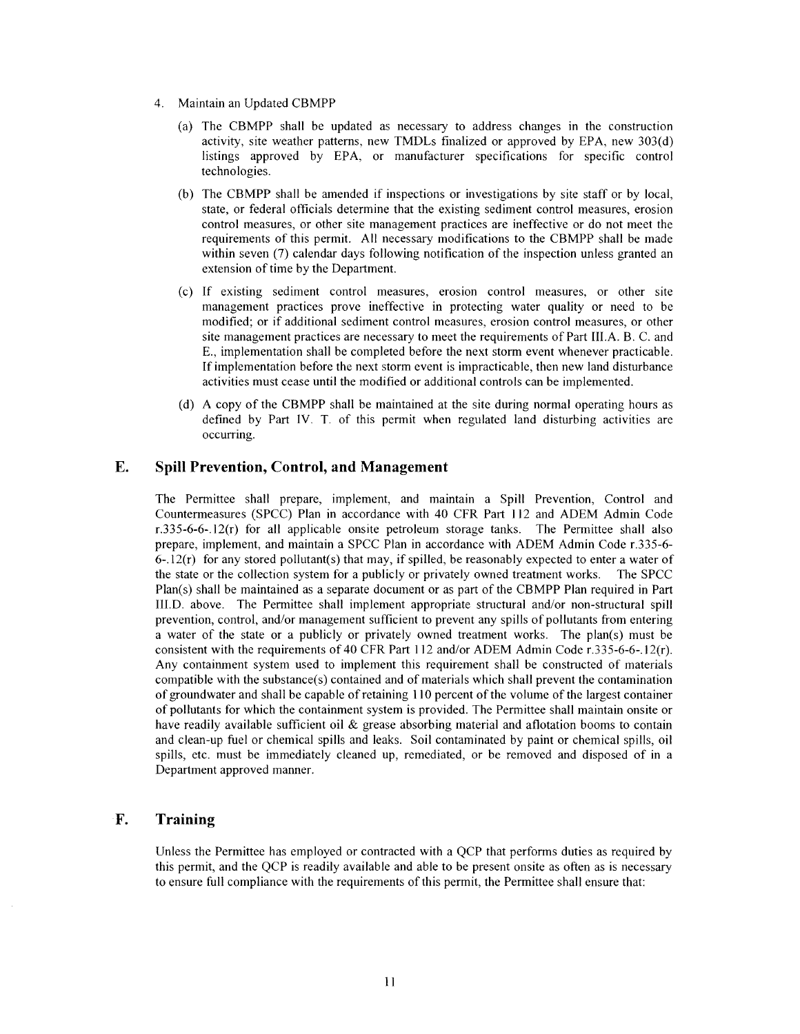- 4. Maintain an Updated CBMPP
	- (a) The CBMPP shall be updated as necessary to address changes in the construction activity, site weather patterns, new TMDLs finalized or approved by EPA, new 303(d) listings approved by EPA, or manufacturer specifications for specific control technologies.
	- (b) The CBMPP shall be amended if inspections or investigations by site staff or by local, state, or federal officials determine that the existing sediment control measures, erosion control measures, or other site management practices are ineffective or do not meet the requirements of this permit. All necessary modifications to the CBMPP shall be made within seven (7) calendar days following notification of the inspection unless granted an extension of time by the Department.
	- (c) If existing sediment control measures, erosion control measures, or other site management practices prove ineffective in protecting water quality or need to be modified; or if additional sediment control measures, erosion control measures, or other site management practices are necessary to meet the requirements of Part III.A. B. C. and E., implementation shall be completed before the next storm event whenever practicable. If implementation before the next storm event is impracticable, then new land disturbance activities must cease until the modified or additional controls can be implemented.
	- (d) A copy of the CBMPP shall be maintained at the site during normal operating hours as defined by Part IV. T. of this permit when regulated land disturbing activities are occurring.

#### E. **Spill Prevention, Control, and Management**

The Permittee shall prepare, implement, and maintain a Spill Prevention, Control and Countermeasures (SPCC) Plan in accordance with 40 CFR Part 112 and ADEM Admin Code  $r.335-6-6-12(r)$  for all applicable onsite petroleum storage tanks. The Permittee shall also prepare, implement, and maintain a SPCC Plan in accordance with ADEM Admin Code r.335-6- $6-12(r)$  for any stored pollutant(s) that may, if spilled, be reasonably expected to enter a water of the state or the collection system for a publicly or privately owned treatment works. The SPCC Plan(s) shall be maintained as a separate document or as part of the CBMPP Plan required in Part III.D. above. The Permittee shall implement appropriate structural and/or non-structural spill prevention, control, and/or management sufficient to prevent any spills of pollutants from entering a water of the state or a publicly or privately owned treatment works. The plan(s) must be consistent with the requirements of 40 CFR Part 112 and/or ADEM Admin Code r.335-6-6-.12(r). Any containment system used to implement this requirement shall be constructed of materials compatible with the substance(s) contained and of materials which shall prevent the contamination of groundwater and shall be capable of retaining 110 percent of the volume of the largest container of pollutants for which the containment system is provided. The Permittee shall maintain onsite or have readily available sufficient oil & grease absorbing material and aflotation booms to contain and clean-up fuel or chemical spills and leaks. Soil contaminated by paint or chemical spills, oil spills, etc. must be immediately cleaned up, remediated, or be removed and disposed of in a Department approved manner.

#### F. **Training**

Unless the Permittee has employed or contracted with a QCP that performs duties as required by this permit, and the QCP is readily available and able to be present onsite as often as is necessary to ensure full compliance with the requirements of this permit, the Permittee shall ensure that: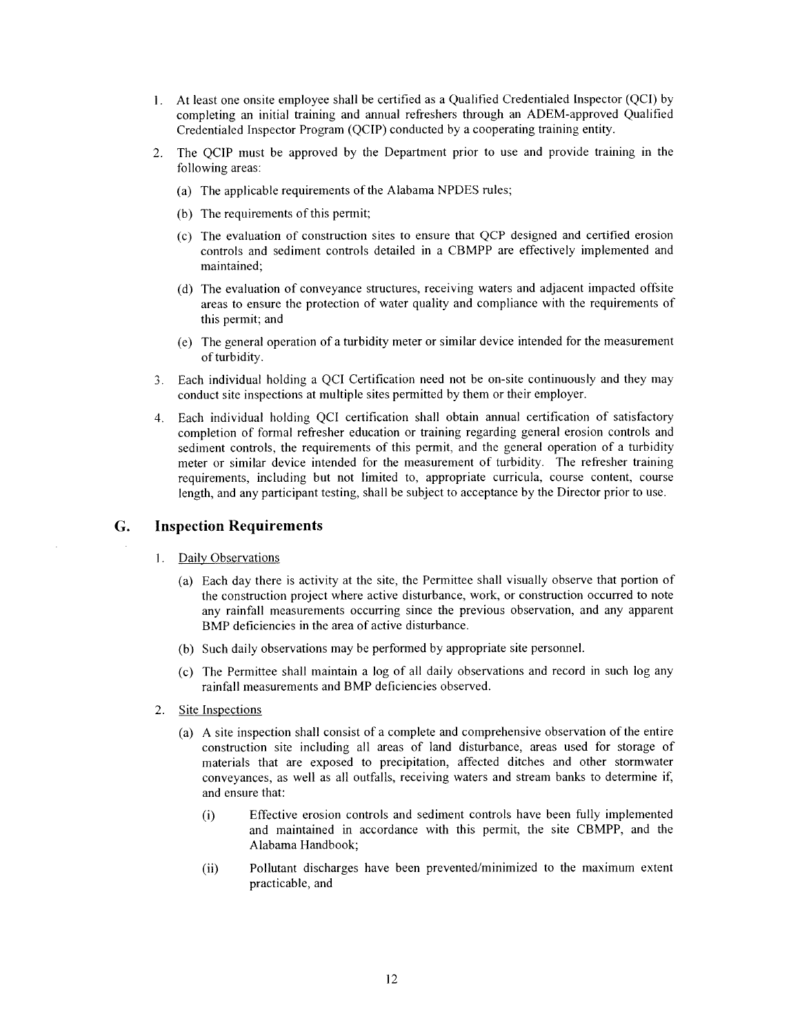- 1. At least one onsite employee shall be certified as a Qualified Credentialed Inspector (QCI) by completing an initial training and annual refreshers through an ADEM-approved Qualified Credentialed Inspector Program (QCIP) conducted by a cooperating training entity.
- The QCIP must be approved by the Department prior to use and provide training in the  $2.$ following areas:
	- (a) The applicable requirements of the Alabama NPDES rules;
	- (b) The requirements of this permit;
	- (c) The evaluation of construction sites to ensure that QCP designed and certified erosion controls and sediment controls detailed in a CBMPP are effectively implemented and maintained:
	- (d) The evaluation of conveyance structures, receiving waters and adjacent impacted offsite areas to ensure the protection of water quality and compliance with the requirements of this permit; and
	- (e) The general operation of a turbidity meter or similar device intended for the measurement of turbidity.
- Each individual holding a QCI Certification need not be on-site continuously and they may  $3.$ conduct site inspections at multiple sites permitted by them or their employer.
- Each individual holding QCI certification shall obtain annual certification of satisfactory 4. completion of formal refresher education or training regarding general erosion controls and sediment controls, the requirements of this permit, and the general operation of a turbidity meter or similar device intended for the measurement of turbidity. The refresher training requirements, including but not limited to, appropriate curricula, course content, course length, and any participant testing, shall be subject to acceptance by the Director prior to use.

#### **Inspection Requirements**  $G<sub>r</sub>$

- 1. Daily Observations
	- (a) Each day there is activity at the site, the Permittee shall visually observe that portion of the construction project where active disturbance, work, or construction occurred to note any rainfall measurements occurring since the previous observation, and any apparent BMP deficiencies in the area of active disturbance.
	- (b) Such daily observations may be performed by appropriate site personnel.
	- (c) The Permittee shall maintain a log of all daily observations and record in such log any rainfall measurements and BMP deficiencies observed.
- Site Inspections  $2.$ 
	- (a) A site inspection shall consist of a complete and comprehensive observation of the entire construction site including all areas of land disturbance, areas used for storage of materials that are exposed to precipitation, affected ditches and other stormwater conveyances, as well as all outfalls, receiving waters and stream banks to determine if, and ensure that:
		- Effective erosion controls and sediment controls have been fully implemented  $(i)$ and maintained in accordance with this permit, the site CBMPP, and the Alabama Handbook;
		- Pollutant discharges have been prevented/minimized to the maximum extent  $(ii)$ practicable, and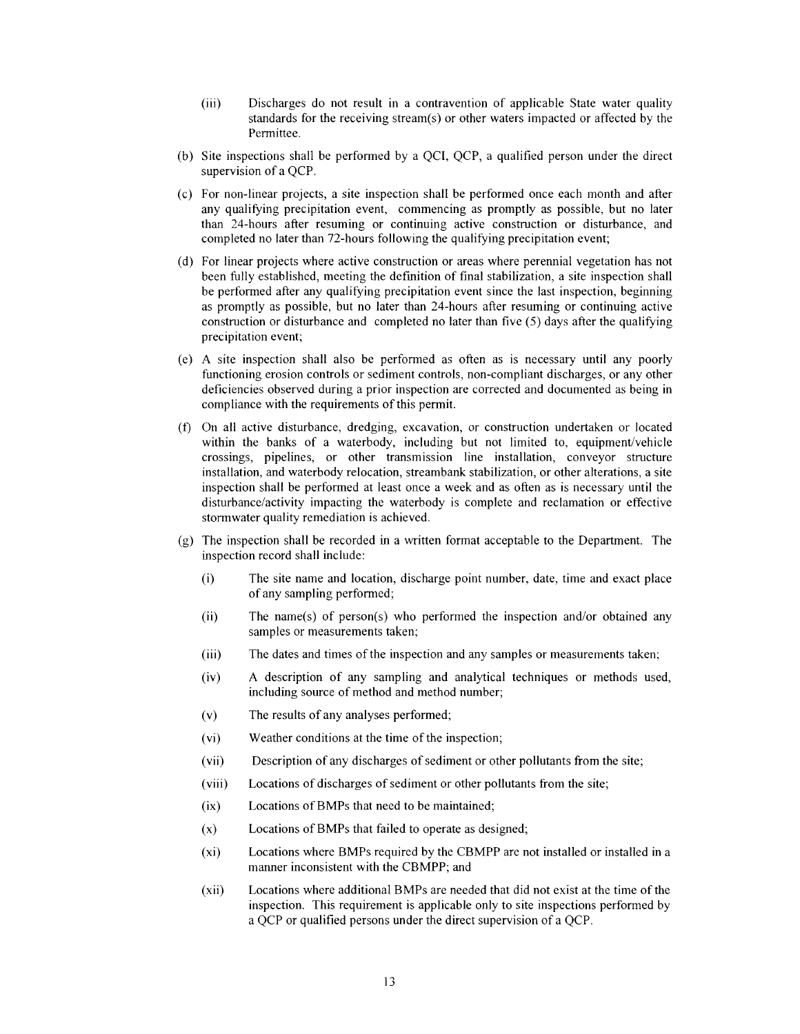- $(iii)$ Discharges do not result in a contravention of applicable State water quality standards for the receiving stream(s) or other waters impacted or affected by the Permittee.
- (b) Site inspections shall be performed by a QCI, QCP, a qualified person under the direct supervision of a QCP.
- (c) For non-linear projects, a site inspection shall be performed once each month and after any qualifying precipitation event, commencing as promptly as possible, but no later than 24-hours after resuming or continuing active construction or disturbance, and completed no later than 72-hours following the qualifying precipitation event;
- (d) For linear projects where active construction or areas where perennial vegetation has not been fully established, meeting the definition of final stabilization, a site inspection shall be performed after any qualifying precipitation event since the last inspection, beginning as promptly as possible, but no later than 24-hours after resuming or continuing active construction or disturbance and completed no later than five (5) days after the qualifying precipitation event;
- (e) A site inspection shall also be performed as often as is necessary until any poorly functioning erosion controls or sediment controls, non-compliant discharges, or any other deficiencies observed during a prior inspection are corrected and documented as being in compliance with the requirements of this permit.
- (f) On all active disturbance, dredging, excavation, or construction undertaken or located within the banks of a waterbody, including but not limited to, equipment/vehicle crossings, pipelines, or other transmission line installation, conveyor structure installation, and waterbody relocation, streambank stabilization, or other alterations, a site inspection shall be performed at least once a week and as often as is necessary until the disturbance/activity impacting the waterbody is complete and reclamation or effective stormwater quality remediation is achieved.
- $(g)$  The inspection shall be recorded in a written format acceptable to the Department. The inspection record shall include:
	- $(i)$ The site name and location, discharge point number, date, time and exact place of any sampling performed;
	- $(ii)$ The name(s) of person(s) who performed the inspection and/or obtained any samples or measurements taken;
	- The dates and times of the inspection and any samples or measurements taken;  $(iii)$
	- A description of any sampling and analytical techniques or methods used,  $(iv)$ including source of method and method number;
	- $(v)$ The results of any analyses performed;
	- $(vi)$ Weather conditions at the time of the inspection;
	- Description of any discharges of sediment or other pollutants from the site;  $(vii)$
	- Locations of discharges of sediment or other pollutants from the site;  $(viii)$
	- $(ix)$ Locations of BMPs that need to be maintained;
	- Locations of BMPs that failed to operate as designed;  $(x)$
	- $(xi)$ Locations where BMPs required by the CBMPP are not installed or installed in a manner inconsistent with the CBMPP; and
	- $(xii)$ Locations where additional BMPs are needed that did not exist at the time of the inspection. This requirement is applicable only to site inspections performed by a OCP or qualified persons under the direct supervision of a OCP.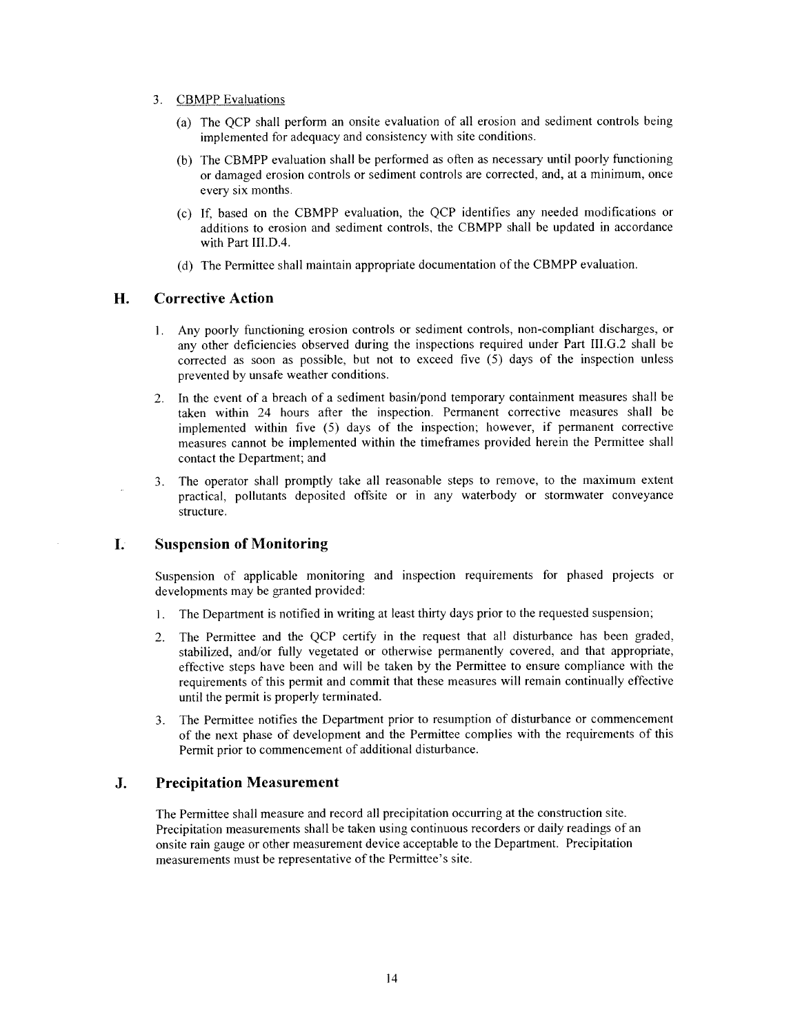- **CBMPP** Evaluations  $3.$ 
	- (a) The QCP shall perform an onsite evaluation of all erosion and sediment controls being implemented for adequacy and consistency with site conditions.
	- (b) The CBMPP evaluation shall be performed as often as necessary until poorly functioning or damaged erosion controls or sediment controls are corrected, and, at a minimum, once every six months.
	- (c) If, based on the CBMPP evaluation, the QCP identifies any needed modifications or additions to erosion and sediment controls, the CBMPP shall be updated in accordance with Part III.D.4.
	- (d) The Permittee shall maintain appropriate documentation of the CBMPP evaluation.

#### H. **Corrective Action**

- 1. Any poorly functioning erosion controls or sediment controls, non-compliant discharges, or any other deficiencies observed during the inspections required under Part III.G.2 shall be corrected as soon as possible, but not to exceed five  $(5)$  days of the inspection unless prevented by unsafe weather conditions.
- In the event of a breach of a sediment basin/pond temporary containment measures shall be  $2.$ taken within 24 hours after the inspection. Permanent corrective measures shall be implemented within five (5) days of the inspection; however, if permanent corrective measures cannot be implemented within the timeframes provided herein the Permittee shall contact the Department; and
- The operator shall promptly take all reasonable steps to remove, to the maximum extent 3. practical, pollutants deposited offsite or in any waterbody or stormwater conveyance structure.

#### L. **Suspension of Monitoring**

Suspension of applicable monitoring and inspection requirements for phased projects or developments may be granted provided:

- The Department is notified in writing at least thirty days prior to the requested suspension; 1.
- The Permittee and the QCP certify in the request that all disturbance has been graded,  $\overline{2}$ . stabilized, and/or fully vegetated or otherwise permanently covered, and that appropriate, effective steps have been and will be taken by the Permittee to ensure compliance with the requirements of this permit and commit that these measures will remain continually effective until the permit is properly terminated.
- The Permittee notifies the Department prior to resumption of disturbance or commencement 3. of the next phase of development and the Permittee complies with the requirements of this Permit prior to commencement of additional disturbance.

#### J. **Precipitation Measurement**

The Permittee shall measure and record all precipitation occurring at the construction site. Precipitation measurements shall be taken using continuous recorders or daily readings of an onsite rain gauge or other measurement device acceptable to the Department. Precipitation measurements must be representative of the Permittee's site.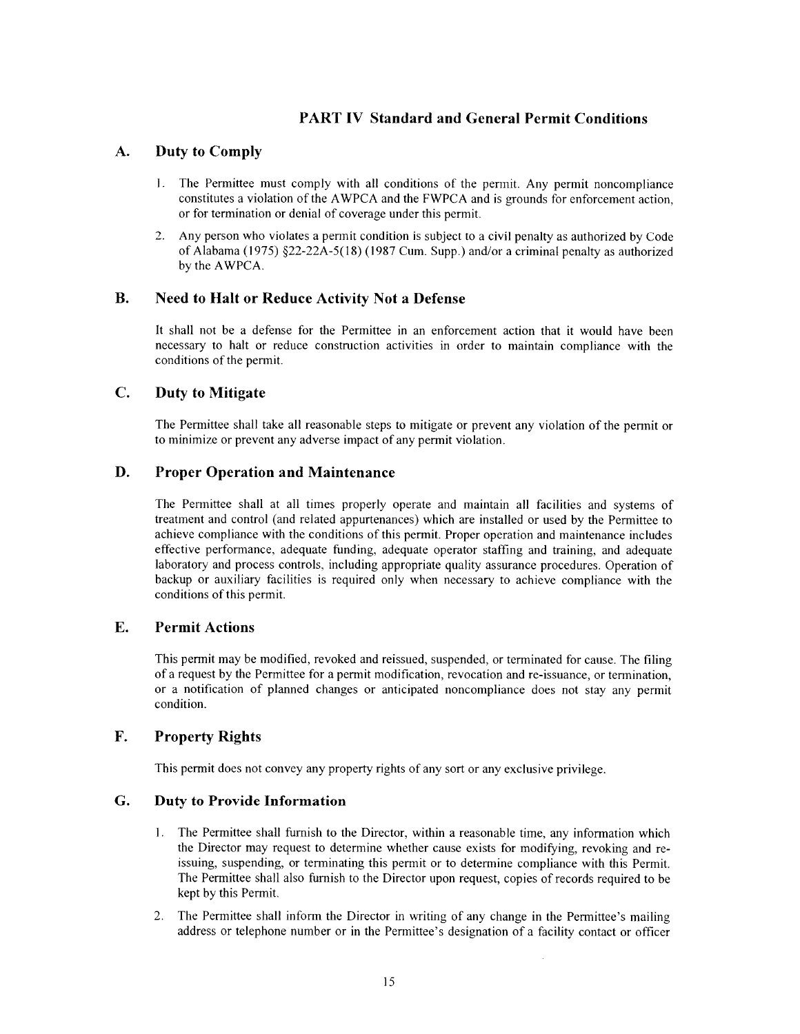# **PART IV Standard and General Permit Conditions**

#### A. **Duty to Comply**

- $\mathbf{1}$ The Permittee must comply with all conditions of the permit. Any permit noncompliance constitutes a violation of the AWPCA and the FWPCA and is grounds for enforcement action, or for termination or denial of coverage under this permit.
- Any person who violates a permit condition is subject to a civil penalty as authorized by Code  $\overline{2}$ . of Alabama (1975)  $\S22$ -22A-5(18) (1987 Cum. Supp.) and/or a criminal penalty as authorized by the AWPCA.

#### **B. Need to Halt or Reduce Activity Not a Defense**

It shall not be a defense for the Permittee in an enforcement action that it would have been necessary to halt or reduce construction activities in order to maintain compliance with the conditions of the permit.

#### $\mathbf{C}$ . **Duty to Mitigate**

The Permittee shall take all reasonable steps to mitigate or prevent any violation of the permit or to minimize or prevent any adverse impact of any permit violation.

#### D. **Proper Operation and Maintenance**

The Permittee shall at all times properly operate and maintain all facilities and systems of treatment and control (and related appurtenances) which are installed or used by the Permittee to achieve compliance with the conditions of this permit. Proper operation and maintenance includes effective performance, adequate funding, adequate operator staffing and training, and adequate laboratory and process controls, including appropriate quality assurance procedures. Operation of backup or auxiliary facilities is required only when necessary to achieve compliance with the conditions of this permit.

#### E. **Permit Actions**

This permit may be modified, revoked and reissued, suspended, or terminated for cause. The filing of a request by the Permittee for a permit modification, revocation and re-issuance, or termination, or a notification of planned changes or anticipated noncompliance does not stay any permit condition.

#### F. **Property Rights**

This permit does not convey any property rights of any sort or any exclusive privilege.

#### G. **Duty to Provide Information**

- $1.$ The Permittee shall furnish to the Director, within a reasonable time, any information which the Director may request to determine whether cause exists for modifying, revoking and reissuing, suspending, or terminating this permit or to determine compliance with this Permit. The Permittee shall also furnish to the Director upon request, copies of records required to be kept by this Permit.
- $2.$ The Permittee shall inform the Director in writing of any change in the Permittee's mailing address or telephone number or in the Permittee's designation of a facility contact or officer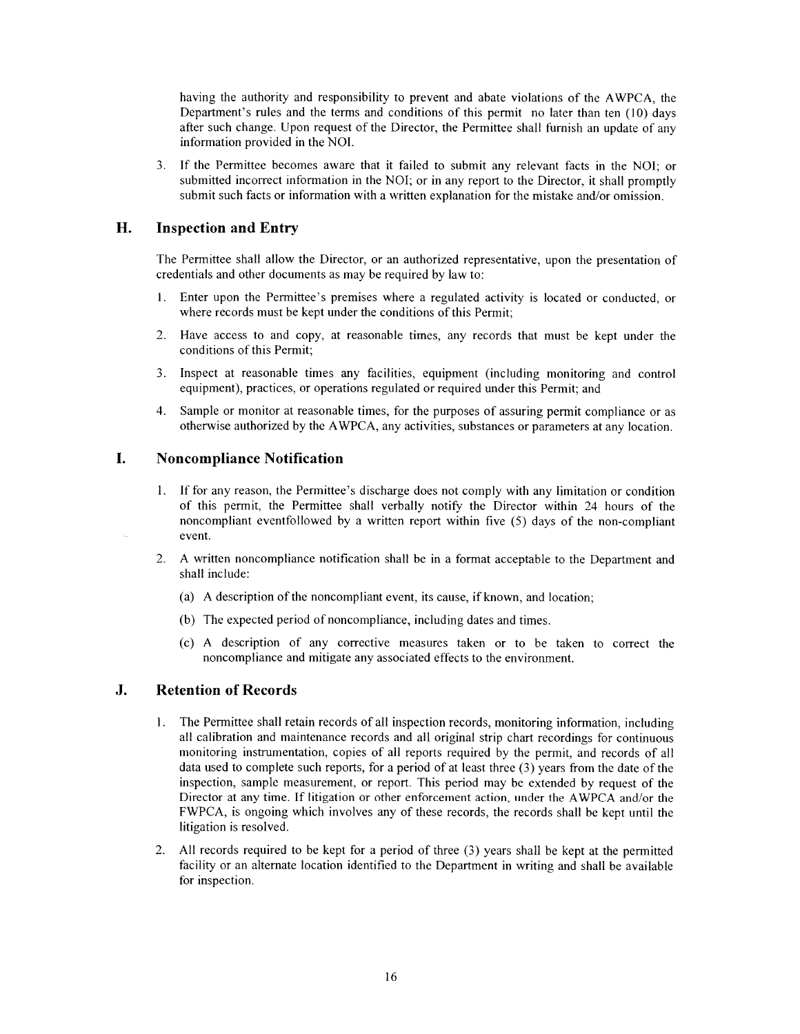having the authority and responsibility to prevent and abate violations of the AWPCA, the Department's rules and the terms and conditions of this permit no later than ten (10) days after such change. Upon request of the Director, the Permittee shall furnish an update of any information provided in the NOI.

If the Permittee becomes aware that it failed to submit any relevant facts in the NOI; or  $3.$ submitted incorrect information in the NOI; or in any report to the Director, it shall promptly submit such facts or information with a written explanation for the mistake and/or omission.

#### H. **Inspection and Entry**

The Permittee shall allow the Director, or an authorized representative, upon the presentation of credentials and other documents as may be required by law to:

- Enter upon the Permittee's premises where a regulated activity is located or conducted, or  $1_{-}$ where records must be kept under the conditions of this Permit;
- $2.$ Have access to and copy, at reasonable times, any records that must be kept under the conditions of this Permit;
- $3<sub>1</sub>$ Inspect at reasonable times any facilities, equipment (including monitoring and control equipment), practices, or operations regulated or required under this Permit; and
- Sample or monitor at reasonable times, for the purposes of assuring permit compliance or as  $4.$ otherwise authorized by the AWPCA, any activities, substances or parameters at any location.

#### I. **Noncompliance Notification**

- 1. If for any reason, the Permittee's discharge does not comply with any limitation or condition of this permit, the Permittee shall verbally notify the Director within 24 hours of the noncompliant eventfollowed by a written report within five (5) days of the non-compliant event.
- A written noncompliance notification shall be in a format acceptable to the Department and  $2.$ shall include:
	- (a) A description of the noncompliant event, its cause, if known, and location;
	- (b) The expected period of noncompliance, including dates and times.
	- (c) A description of any corrective measures taken or to be taken to correct the noncompliance and mitigate any associated effects to the environment.

#### $\mathbf{J}$ . **Retention of Records**

- The Permittee shall retain records of all inspection records, monitoring information, including 1. all calibration and maintenance records and all original strip chart recordings for continuous monitoring instrumentation, copies of all reports required by the permit, and records of all data used to complete such reports, for a period of at least three (3) years from the date of the inspection, sample measurement, or report. This period may be extended by request of the Director at any time. If litigation or other enforcement action, under the AWPCA and/or the FWPCA, is ongoing which involves any of these records, the records shall be kept until the litigation is resolved.
- All records required to be kept for a period of three (3) years shall be kept at the permitted  $2.$ facility or an alternate location identified to the Department in writing and shall be available for inspection.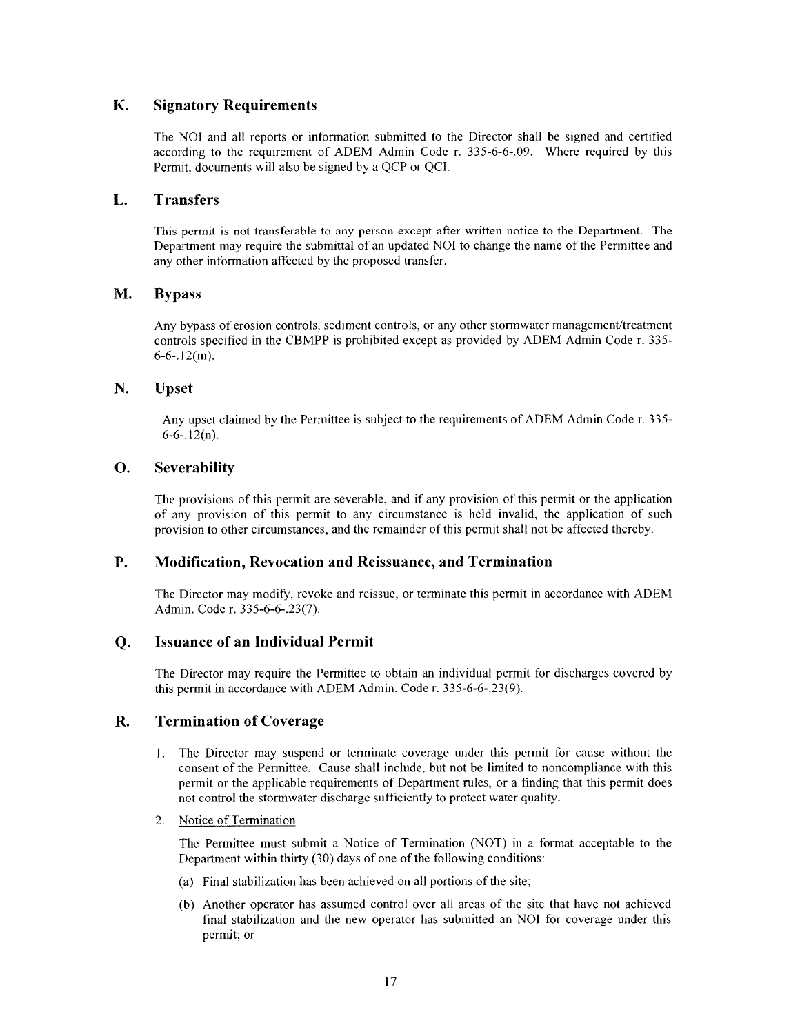#### K. **Signatory Requirements**

The NOI and all reports or information submitted to the Director shall be signed and certified according to the requirement of ADEM Admin Code r. 335-6-6-09. Where required by this Permit, documents will also be signed by a QCP or QCI.

#### **Transfers** L.

This permit is not transferable to any person except after written notice to the Department. The Department may require the submittal of an updated NOI to change the name of the Permittee and any other information affected by the proposed transfer.

#### M. **Bypass**

Any bypass of erosion controls, sediment controls, or any other stormwater management/treatment controls specified in the CBMPP is prohibited except as provided by ADEM Admin Code r. 335- $6-6-.12(m)$ .

#### N. Upset

Any upset claimed by the Permittee is subject to the requirements of ADEM Admin Code r. 335- $6-6-12(n)$ .

#### **O.** Severability

The provisions of this permit are severable, and if any provision of this permit or the application of any provision of this permit to any circumstance is held invalid, the application of such provision to other circumstances, and the remainder of this permit shall not be affected thereby.

#### **P. Modification, Revocation and Reissuance, and Termination**

The Director may modify, revoke and reissue, or terminate this permit in accordance with ADEM Admin. Code r. 335-6-6-.23(7).

#### **Issuance of an Individual Permit**  $Q<sub>r</sub>$

The Director may require the Permittee to obtain an individual permit for discharges covered by this permit in accordance with ADEM Admin. Code r. 335-6-6-.23(9).

#### R. **Termination of Coverage**

- The Director may suspend or terminate coverage under this permit for cause without the  $1.$ consent of the Permittee. Cause shall include, but not be limited to noncompliance with this permit or the applicable requirements of Department rules, or a finding that this permit does not control the stormwater discharge sufficiently to protect water quality.
- 2. Notice of Termination

The Permittee must submit a Notice of Termination (NOT) in a format acceptable to the Department within thirty (30) days of one of the following conditions:

- (a) Final stabilization has been achieved on all portions of the site;
- (b) Another operator has assumed control over all areas of the site that have not achieved final stabilization and the new operator has submitted an NOI for coverage under this permit; or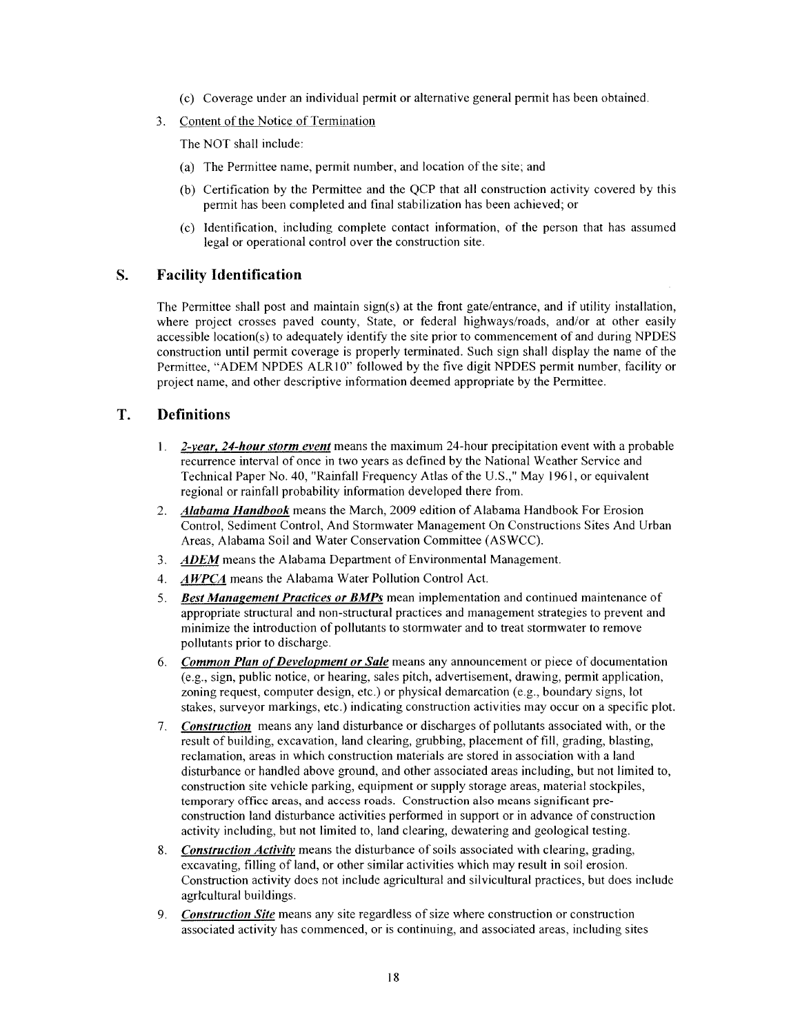- (c) Coverage under an individual permit or alternative general permit has been obtained.
- $3<sub>1</sub>$ Content of the Notice of Termination

The NOT shall include:

- (a) The Permittee name, permit number, and location of the site; and
- (b) Certification by the Permittee and the OCP that all construction activity covered by this permit has been completed and final stabilization has been achieved; or
- (c) Identification, including complete contact information, of the person that has assumed legal or operational control over the construction site.

#### S. **Facility Identification**

The Permittee shall post and maintain sign(s) at the front gate/entrance, and if utility installation, where project crosses paved county, State, or federal highways/roads, and/or at other easily accessible location(s) to adequately identify the site prior to commencement of and during NPDES construction until permit coverage is properly terminated. Such sign shall display the name of the Permittee, "ADEM NPDES ALR10" followed by the five digit NPDES permit number, facility or project name, and other descriptive information deemed appropriate by the Permittee.

#### T. **Definitions**

- 1. 2-year, 24-hour storm event means the maximum 24-hour precipitation event with a probable recurrence interval of once in two years as defined by the National Weather Service and Technical Paper No. 40, "Rainfall Frequency Atlas of the U.S.," May 1961, or equivalent regional or rainfall probability information developed there from.
- Alabama Handbook means the March, 2009 edition of Alabama Handbook For Erosion  $2.$ Control, Sediment Control, And Stormwater Management On Constructions Sites And Urban Areas, Alabama Soil and Water Conservation Committee (ASWCC).
- 3. ADEM means the Alabama Department of Environmental Management.
- 4. AWPCA means the Alabama Water Pollution Control Act.
- 5. Best Management Practices or BMPs mean implementation and continued maintenance of appropriate structural and non-structural practices and management strategies to prevent and minimize the introduction of pollutants to stormwater and to treat stormwater to remove pollutants prior to discharge.
- 6. Common Plan of Development or Sale means any announcement or piece of documentation (e.g., sign, public notice, or hearing, sales pitch, advertisement, drawing, permit application, zoning request, computer design, etc.) or physical demarcation (e.g., boundary signs, lot stakes, surveyor markings, etc.) indicating construction activities may occur on a specific plot.
- 7. Construction means any land disturbance or discharges of pollutants associated with, or the result of building, excavation, land clearing, grubbing, placement of fill, grading, blasting, reclamation, areas in which construction materials are stored in association with a land disturbance or handled above ground, and other associated areas including, but not limited to, construction site vehicle parking, equipment or supply storage areas, material stockpiles, temporary office areas, and access roads. Construction also means significant preconstruction land disturbance activities performed in support or in advance of construction activity including, but not limited to, land clearing, dewatering and geological testing.
- 8. Construction Activity means the disturbance of soils associated with clearing, grading, excavating, filling of land, or other similar activities which may result in soil erosion. Construction activity does not include agricultural and silvicultural practices, but does include agricultural buildings.
- 9. Construction Site means any site regardless of size where construction or construction associated activity has commenced, or is continuing, and associated areas, including sites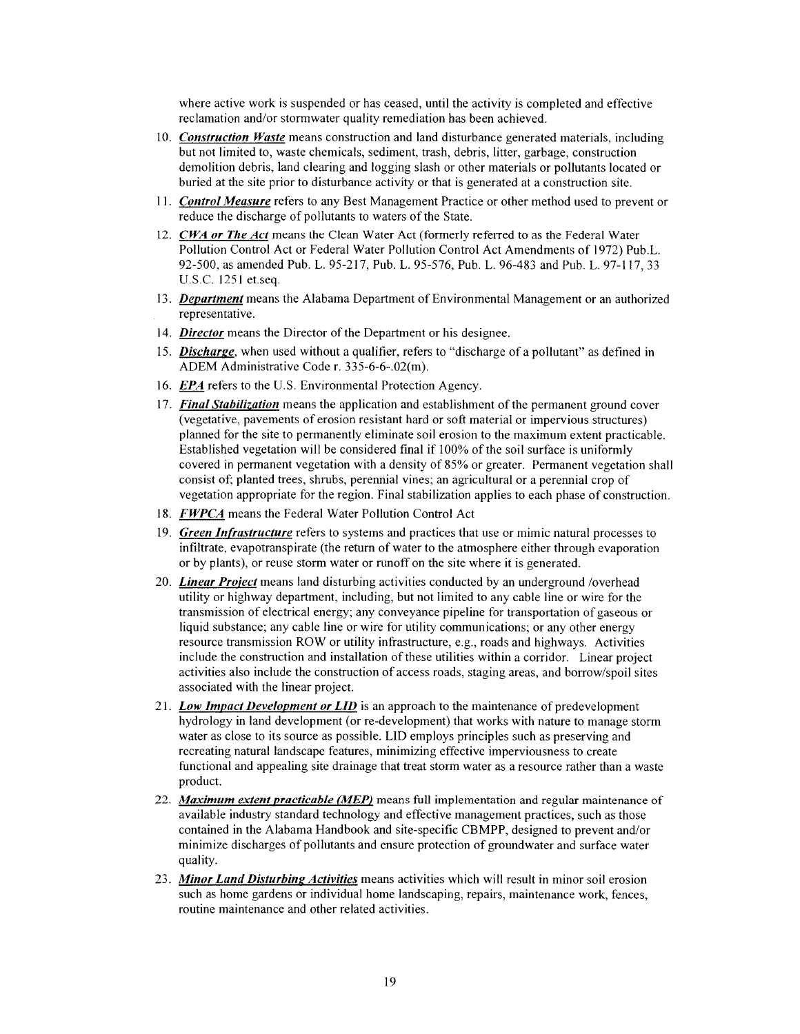where active work is suspended or has ceased, until the activity is completed and effective reclamation and/or stormwater quality remediation has been achieved.

- 10. Construction Waste means construction and land disturbance generated materials, including but not limited to, waste chemicals, sediment, trash, debris, litter, garbage, construction demolition debris, land clearing and logging slash or other materials or pollutants located or buried at the site prior to disturbance activity or that is generated at a construction site.
- 11. Control Measure refers to any Best Management Practice or other method used to prevent or reduce the discharge of pollutants to waters of the State.
- 12. CWA or The Act means the Clean Water Act (formerly referred to as the Federal Water Pollution Control Act or Federal Water Pollution Control Act Amendments of 1972) Pub.L. 92-500, as amended Pub. L. 95-217, Pub. L. 95-576, Pub. L. 96-483 and Pub. L. 97-117, 33 U.S.C. 1251 et.seq.
- 13. Department means the Alabama Department of Environmental Management or an authorized representative.
- 14. Director means the Director of the Department or his designee.
- 15. Discharge, when used without a qualifier, refers to "discharge of a pollutant" as defined in ADEM Administrative Code r. 335-6-6-.02(m).
- 16. EPA refers to the U.S. Environmental Protection Agency.
- 17. Final Stabilization means the application and establishment of the permanent ground cover (vegetative, pavements of erosion resistant hard or soft material or impervious structures) planned for the site to permanently eliminate soil erosion to the maximum extent practicable. Established vegetation will be considered final if 100% of the soil surface is uniformly covered in permanent vegetation with a density of 85% or greater. Permanent vegetation shall consist of; planted trees, shrubs, perennial vines; an agricultural or a perennial crop of vegetation appropriate for the region. Final stabilization applies to each phase of construction.
- 18. *FWPCA* means the Federal Water Pollution Control Act
- 19. Green Infrastructure refers to systems and practices that use or mimic natural processes to infiltrate, evapotranspirate (the return of water to the atmosphere either through evaporation or by plants), or reuse storm water or runoff on the site where it is generated.
- 20. *Linear Project* means land disturbing activities conducted by an underground /overhead utility or highway department, including, but not limited to any cable line or wire for the transmission of electrical energy; any conveyance pipeline for transportation of gaseous or liquid substance; any cable line or wire for utility communications; or any other energy resource transmission ROW or utility infrastructure, e.g., roads and highways. Activities include the construction and installation of these utilities within a corridor. Linear project activities also include the construction of access roads, staging areas, and borrow/spoil sites associated with the linear project.
- 21. Low Impact Development or LID is an approach to the maintenance of predevelopment hydrology in land development (or re-development) that works with nature to manage storm water as close to its source as possible. LID employs principles such as preserving and recreating natural landscape features, minimizing effective imperviousness to create functional and appealing site drainage that treat storm water as a resource rather than a waste product.
- 22. Maximum extent practicable (MEP) means full implementation and regular maintenance of available industry standard technology and effective management practices, such as those contained in the Alabama Handbook and site-specific CBMPP, designed to prevent and/or minimize discharges of pollutants and ensure protection of groundwater and surface water quality.
- 23. Minor Land Disturbing Activities means activities which will result in minor soil erosion such as home gardens or individual home landscaping, repairs, maintenance work, fences, routine maintenance and other related activities.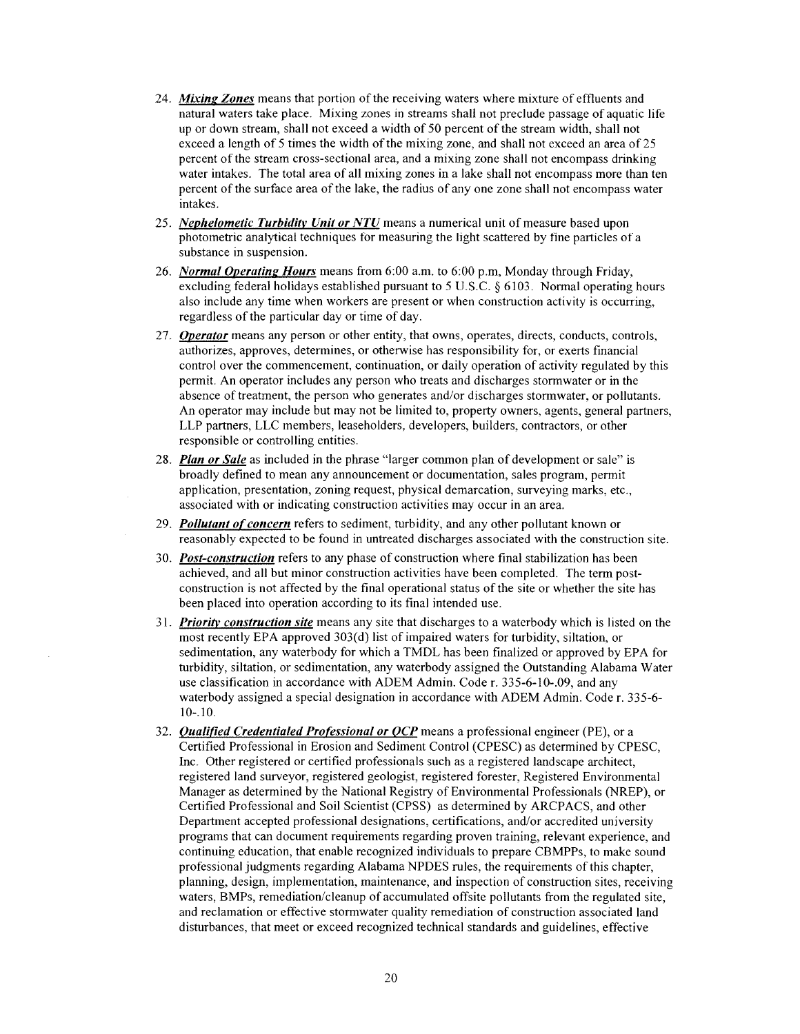- 24. Mixing Zones means that portion of the receiving waters where mixture of effluents and natural waters take place. Mixing zones in streams shall not preclude passage of aquatic life up or down stream, shall not exceed a width of 50 percent of the stream width, shall not exceed a length of 5 times the width of the mixing zone, and shall not exceed an area of 25 percent of the stream cross-sectional area, and a mixing zone shall not encompass drinking water intakes. The total area of all mixing zones in a lake shall not encompass more than ten percent of the surface area of the lake, the radius of any one zone shall not encompass water intakes.
- 25. Nephelometic Turbidity Unit or NTU means a numerical unit of measure based upon photometric analytical techniques for measuring the light scattered by fine particles of a substance in suspension.
- 26. Normal Operating Hours means from 6:00 a.m. to 6:00 p.m., Monday through Friday, excluding federal holidays established pursuant to 5 U.S.C. § 6103. Normal operating hours also include any time when workers are present or when construction activity is occurring, regardless of the particular day or time of day.
- 27. Operator means any person or other entity, that owns, operates, directs, conducts, controls, authorizes, approves, determines, or otherwise has responsibility for, or exerts financial control over the commencement, continuation, or daily operation of activity regulated by this permit. An operator includes any person who treats and discharges stormwater or in the absence of treatment, the person who generates and/or discharges stormwater, or pollutants. An operator may include but may not be limited to, property owners, agents, general partners, LLP partners, LLC members, leaseholders, developers, builders, contractors, or other responsible or controlling entities.
- 28. Plan or Sale as included in the phrase "larger common plan of development or sale" is broadly defined to mean any announcement or documentation, sales program, permit application, presentation, zoning request, physical demarcation, surveying marks, etc., associated with or indicating construction activities may occur in an area.
- 29. Pollutant of concern refers to sediment, turbidity, and any other pollutant known or reasonably expected to be found in untreated discharges associated with the construction site.
- 30. Post-construction refers to any phase of construction where final stabilization has been achieved, and all but minor construction activities have been completed. The term postconstruction is not affected by the final operational status of the site or whether the site has been placed into operation according to its final intended use.
- 31. Priority construction site means any site that discharges to a waterbody which is listed on the most recently EPA approved 303(d) list of impaired waters for turbidity, siltation, or sedimentation, any waterbody for which a TMDL has been finalized or approved by EPA for turbidity, siltation, or sedimentation, any waterbody assigned the Outstanding Alabama Water use classification in accordance with ADEM Admin. Code r. 335-6-10-.09, and any waterbody assigned a special designation in accordance with ADEM Admin. Code r. 335-6- $10-.10.$
- 32. **Qualified Credentialed Professional or OCP** means a professional engineer (PE), or a Certified Professional in Erosion and Sediment Control (CPESC) as determined by CPESC, Inc. Other registered or certified professionals such as a registered landscape architect, registered land surveyor, registered geologist, registered forester, Registered Environmental Manager as determined by the National Registry of Environmental Professionals (NREP), or Certified Professional and Soil Scientist (CPSS) as determined by ARCPACS, and other Department accepted professional designations, certifications, and/or accredited university programs that can document requirements regarding proven training, relevant experience, and continuing education, that enable recognized individuals to prepare CBMPPs, to make sound professional judgments regarding Alabama NPDES rules, the requirements of this chapter, planning, design, implementation, maintenance, and inspection of construction sites, receiving waters, BMPs, remediation/cleanup of accumulated offsite pollutants from the regulated site, and reclamation or effective stormwater quality remediation of construction associated land disturbances, that meet or exceed recognized technical standards and guidelines, effective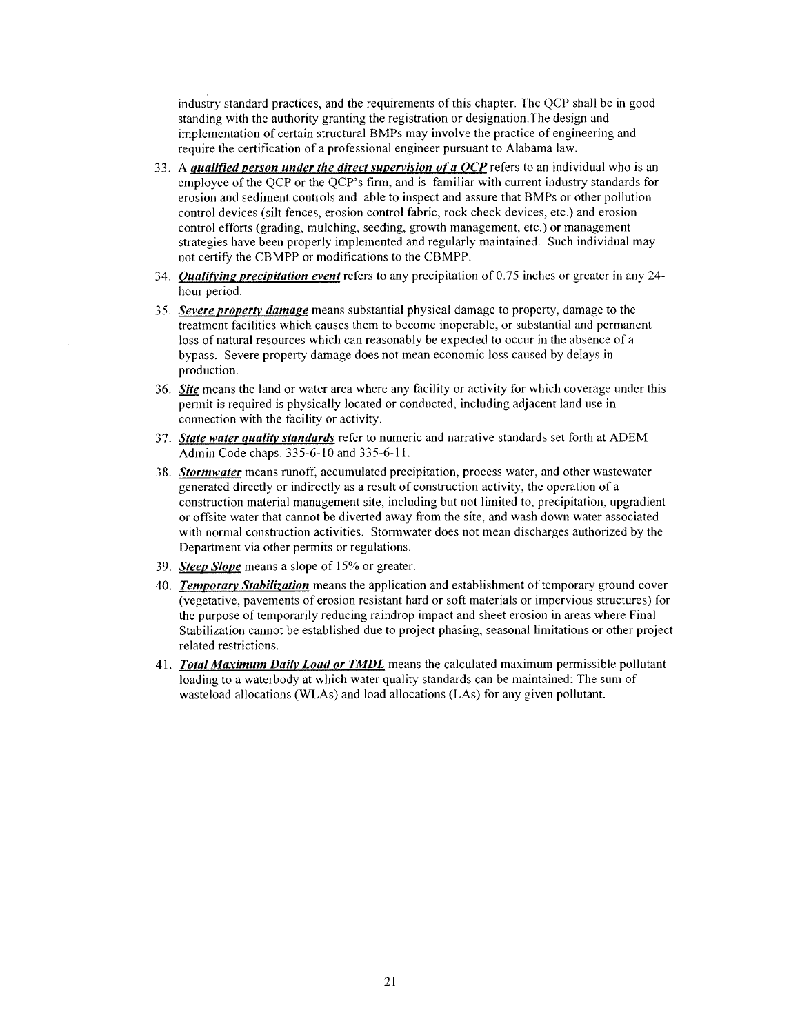industry standard practices, and the requirements of this chapter. The OCP shall be in good standing with the authority granting the registration or designation. The design and implementation of certain structural BMPs may involve the practice of engineering and require the certification of a professional engineer pursuant to Alabama law.

- 33. A *qualified person under the direct supervision of a QCP* refers to an individual who is an employee of the QCP or the QCP's firm, and is familiar with current industry standards for erosion and sediment controls and able to inspect and assure that BMPs or other pollution control devices (silt fences, erosion control fabric, rock check devices, etc.) and erosion control efforts (grading, mulching, seeding, growth management, etc.) or management strategies have been properly implemented and regularly maintained. Such individual may not certify the CBMPP or modifications to the CBMPP.
- 34. Oualifying precipitation event refers to any precipitation of 0.75 inches or greater in any 24hour period.
- 35. Severe property damage means substantial physical damage to property, damage to the treatment facilities which causes them to become inoperable, or substantial and permanent loss of natural resources which can reasonably be expected to occur in the absence of a bypass. Severe property damage does not mean economic loss caused by delays in production.
- 36. Site means the land or water area where any facility or activity for which coverage under this permit is required is physically located or conducted, including adjacent land use in connection with the facility or activity.
- 37. State water quality standards refer to numeric and narrative standards set forth at ADEM Admin Code chaps. 335-6-10 and 335-6-11.
- 38. Stormwater means runoff, accumulated precipitation, process water, and other wastewater generated directly or indirectly as a result of construction activity, the operation of a construction material management site, including but not limited to, precipitation, upgradient or offsite water that cannot be diverted away from the site, and wash down water associated with normal construction activities. Stormwater does not mean discharges authorized by the Department via other permits or regulations.
- 39. Steep Slope means a slope of 15% or greater.
- 40. Temporary Stabilization means the application and establishment of temporary ground cover (vegetative, pavements of erosion resistant hard or soft materials or impervious structures) for the purpose of temporarily reducing raindrop impact and sheet erosion in areas where Final Stabilization cannot be established due to project phasing, seasonal limitations or other project related restrictions.
- 41. Total Maximum Daily Load or TMDL means the calculated maximum permissible pollutant loading to a waterbody at which water quality standards can be maintained; The sum of wasteload allocations (WLAs) and load allocations (LAs) for any given pollutant.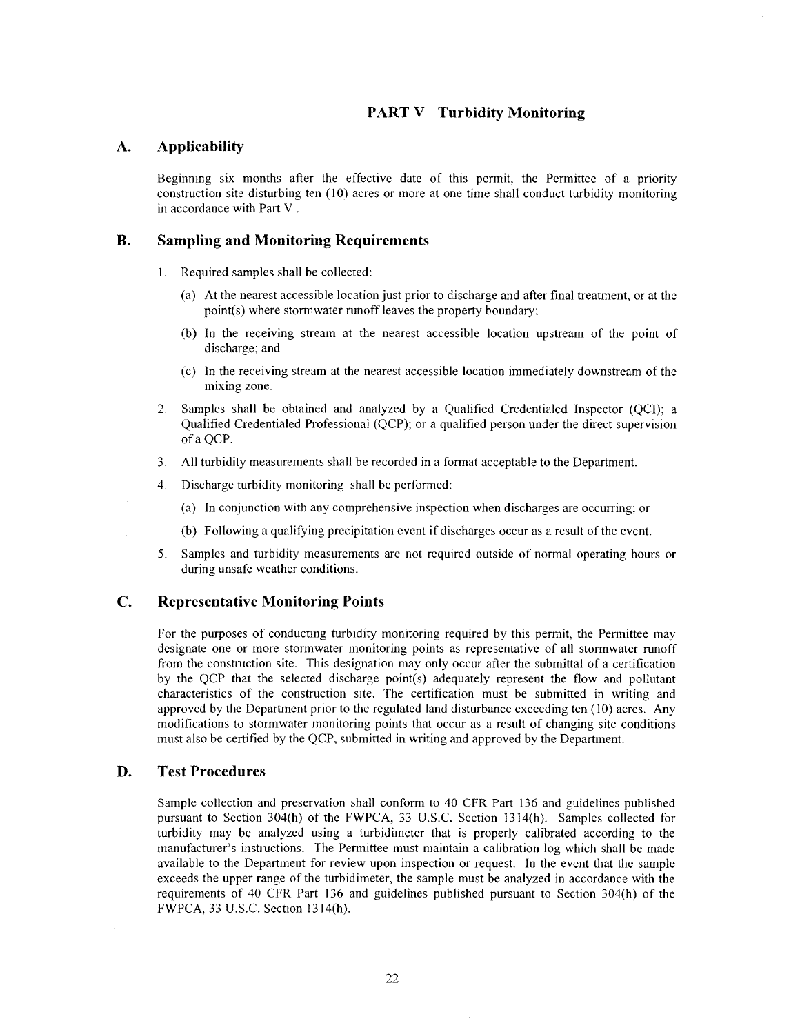# **PART V** Turbidity Monitoring

#### **Applicability**  $\mathbf{A}$ .

Beginning six months after the effective date of this permit, the Permittee of a priority construction site disturbing ten  $(10)$  acres or more at one time shall conduct turbidity monitoring in accordance with Part V.

#### **B. Sampling and Monitoring Requirements**

- 1. Required samples shall be collected:
	- (a) At the nearest accessible location just prior to discharge and after final treatment, or at the point(s) where stormwater runoff leaves the property boundary;
	- (b) In the receiving stream at the nearest accessible location upstream of the point of discharge: and
	- (c) In the receiving stream at the nearest accessible location immediately downstream of the mixing zone.
- Samples shall be obtained and analyzed by a Qualified Credentialed Inspector (QCI); a  $2.$ Qualified Credentialed Professional (QCP); or a qualified person under the direct supervision of a QCP.
- 3. All turbidity measurements shall be recorded in a format acceptable to the Department.
- Discharge turbidity monitoring shall be performed: 4.
	- (a) In conjunction with any comprehensive inspection when discharges are occurring; or
	- (b) Following a qualifying precipitation event if discharges occur as a result of the event.
- Samples and turbidity measurements are not required outside of normal operating hours or 5. during unsafe weather conditions.

#### $\mathbf{C}$ . **Representative Monitoring Points**

For the purposes of conducting turbidity monitoring required by this permit, the Permittee may designate one or more stormwater monitoring points as representative of all stormwater runoff from the construction site. This designation may only occur after the submittal of a certification by the QCP that the selected discharge point(s) adequately represent the flow and pollutant characteristics of the construction site. The certification must be submitted in writing and approved by the Department prior to the regulated land disturbance exceeding ten (10) acres. Any modifications to stormwater monitoring points that occur as a result of changing site conditions must also be certified by the QCP, submitted in writing and approved by the Department.

#### D. **Test Procedures**

Sample collection and preservation shall conform to 40 CFR Part 136 and guidelines published pursuant to Section 304(h) of the FWPCA, 33 U.S.C. Section 1314(h). Samples collected for turbidity may be analyzed using a turbidimeter that is properly calibrated according to the manufacturer's instructions. The Permittee must maintain a calibration log which shall be made available to the Department for review upon inspection or request. In the event that the sample exceeds the upper range of the turbidimeter, the sample must be analyzed in accordance with the requirements of 40 CFR Part 136 and guidelines published pursuant to Section 304(h) of the FWPCA, 33 U.S.C. Section 1314(h).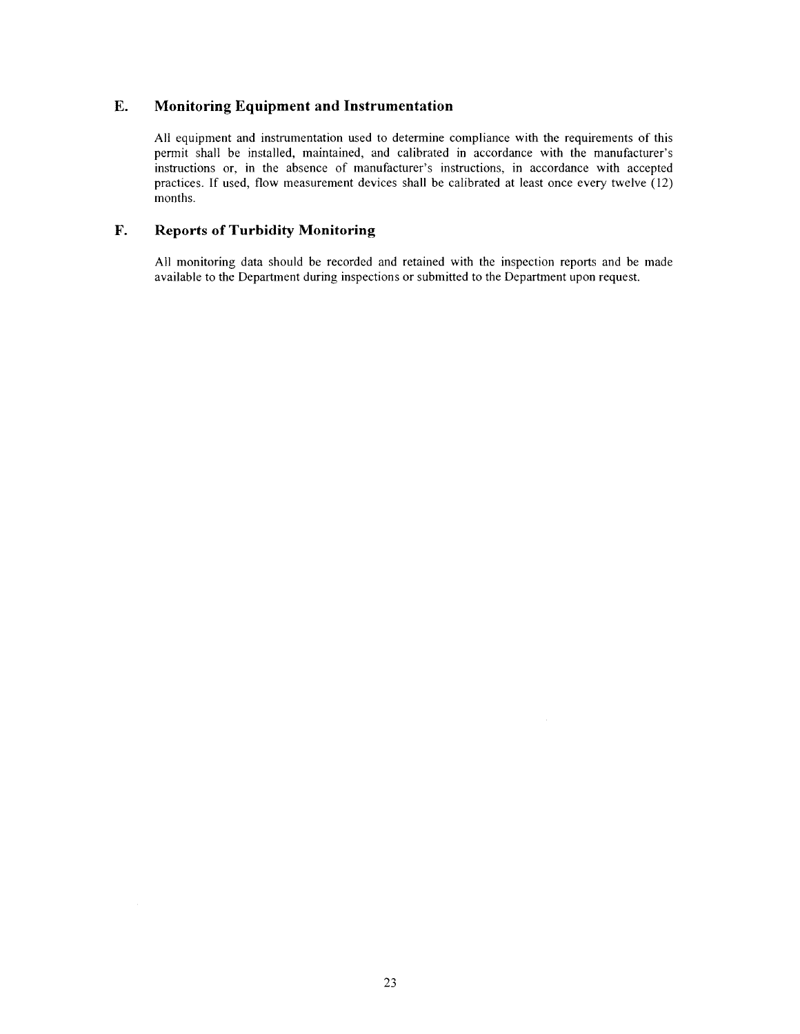#### E. Monitoring Equipment and Instrumentation

All equipment and instrumentation used to determine compliance with the requirements of this permit shall be installed, maintained, and calibrated in accordance with the manufacturer's instructions or, in the absence of manufacturer's instructions, in accordance with accepted practices. If used, flow measurement devices shall be calibrated at least once every twelve (12) months.

#### $\mathbf{F}$ . **Reports of Turbidity Monitoring**

All monitoring data should be recorded and retained with the inspection reports and be made available to the Department during inspections or submitted to the Department upon request.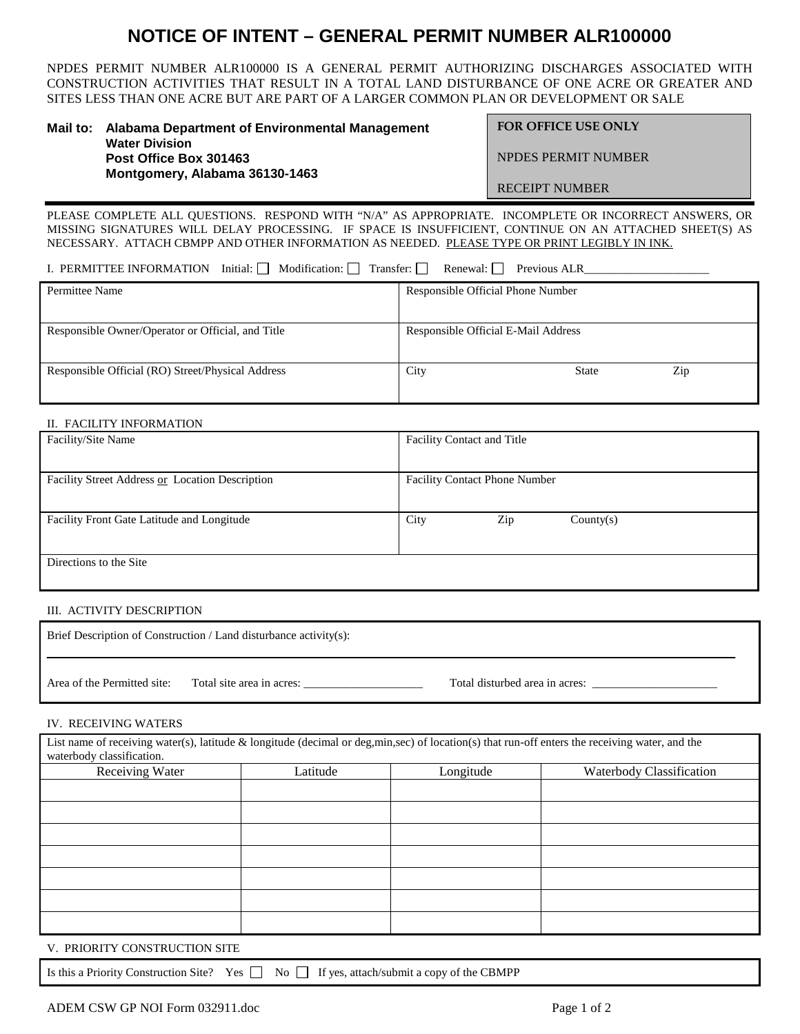# **NOTICE OF INTENT – GENERAL PERMIT NUMBER ALR100000**

NPDES PERMIT NUMBER ALR100000 IS A GENERAL PERMIT AUTHORIZING DISCHARGES ASSOCIATED WITH CONSTRUCTION ACTIVITIES THAT RESULT IN A TOTAL LAND DISTURBANCE OF ONE ACRE OR GREATER AND SITES LESS THAN ONE ACRE BUT ARE PART OF A LARGER COMMON PLAN OR DEVELOPMENT OR SALE

| Mail to: Alabama Department of Environmental Management | <b>FOR</b>  |  |
|---------------------------------------------------------|-------------|--|
| <b>Water Division</b><br>Post Office Box 301463         | <b>NPDF</b> |  |
| Montgomery, Alabama 36130-1463                          |             |  |

OFFICE USE ONLY

ES PERMIT NUMBER

RECEIPT NUMBER

PLEASE COMPLETE ALL QUESTIONS. RESPOND WITH "N/A" AS APPROPRIATE. INCOMPLETE OR INCORRECT ANSWERS, OR MISSING SIGNATURES WILL DELAY PROCESSING. IF SPACE IS INSUFFICIENT, CONTINUE ON AN ATTACHED SHEET(S) AS NECESSARY. ATTACH CBMPP AND OTHER INFORMATION AS NEEDED. PLEASE TYPE OR PRINT LEGIBLY IN INK.

I. PERMITTEE INFORMATION Initial:  $\Box$  Modification:  $\Box$  Transfer:  $\Box$  Renewal:  $\Box$  Previous ALR

| Permittee Name                                    | Responsible Official Phone Number   |  |
|---------------------------------------------------|-------------------------------------|--|
| Responsible Owner/Operator or Official, and Title | Responsible Official E-Mail Address |  |
| Responsible Official (RO) Street/Physical Address | City<br>Zip<br><b>State</b>         |  |

# II. FACILITY INFORMATION

| Facility/Site Name                              | <b>Facility Contact and Title</b>    |  |
|-------------------------------------------------|--------------------------------------|--|
|                                                 |                                      |  |
| Facility Street Address or Location Description | <b>Facility Contact Phone Number</b> |  |
|                                                 |                                      |  |
| Facility Front Gate Latitude and Longitude      | City<br>Zip<br>Country(s)            |  |
|                                                 |                                      |  |
| Directions to the Site                          |                                      |  |
|                                                 |                                      |  |

# III. ACTIVITY DESCRIPTION

| Brief Description of Construction / Land disturbance activity(s): |                           |                                |  |
|-------------------------------------------------------------------|---------------------------|--------------------------------|--|
| Area of the Permitted site:                                       | Total site area in acres: | Total disturbed area in acres: |  |

# IV. RECEIVING WATERS

| List name of receiving water(s), latitude $\&$ longitude (decimal or deg,min,sec) of location(s) that run-off enters the receiving water, and the<br>waterbody classification. |          |           |                          |
|--------------------------------------------------------------------------------------------------------------------------------------------------------------------------------|----------|-----------|--------------------------|
| Receiving Water                                                                                                                                                                | Latitude | Longitude | Waterbody Classification |
|                                                                                                                                                                                |          |           |                          |
|                                                                                                                                                                                |          |           |                          |
|                                                                                                                                                                                |          |           |                          |
|                                                                                                                                                                                |          |           |                          |
|                                                                                                                                                                                |          |           |                          |
|                                                                                                                                                                                |          |           |                          |
|                                                                                                                                                                                |          |           |                          |

V. PRIORITY CONSTRUCTION SITE

Is this a Priority Construction Site? Yes  $\Box$  No  $\Box$  If yes, attach/submit a copy of the CBMPP

ADEM CSW GP NOI Form 032911.doc Page 1 of 2